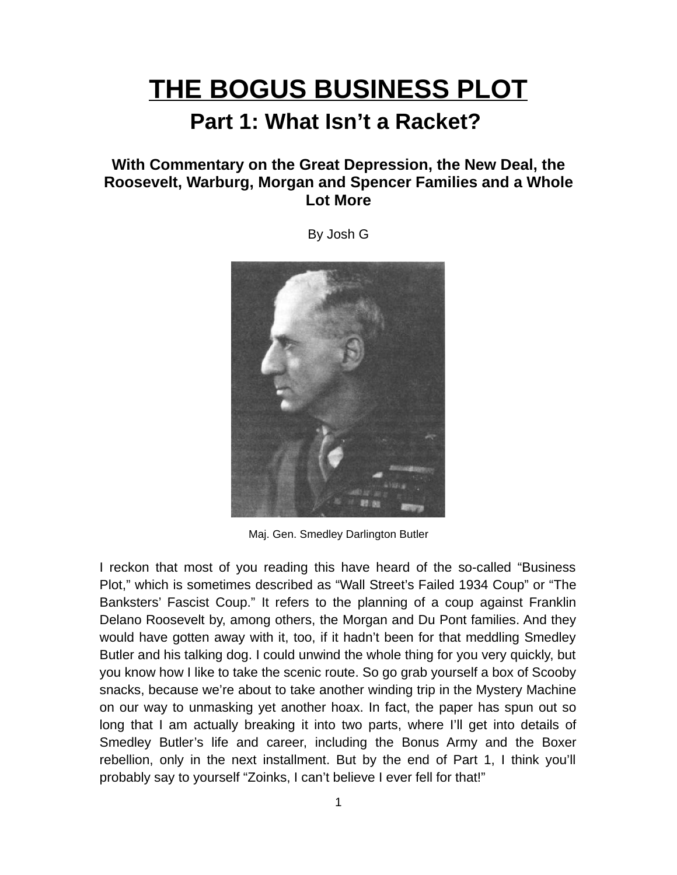# **THE BOGUS BUSINESS PLOT**

## **Part 1: What Isn't a Racket?**

### **With Commentary on the Great Depression, the New Deal, the Roosevelt, Warburg, Morgan and Spencer Families and a Whole Lot More**

By Josh G

Maj. Gen. Smedley Darlington Butler

I reckon that most of you reading this have heard of the so-called "Business Plot," which is sometimes described as "Wall Street's Failed 1934 Coup" or "The Banksters' Fascist Coup." It refers to the planning of a coup against Franklin Delano Roosevelt by, among others, the Morgan and Du Pont families. And they would have gotten away with it, too, if it hadn't been for that meddling Smedley Butler and his talking dog. I could unwind the whole thing for you very quickly, but you know how I like to take the scenic route. So go grab yourself a box of Scooby snacks, because we're about to take another winding trip in the Mystery Machine on our way to unmasking yet another hoax. In fact, the paper has spun out so long that I am actually breaking it into two parts, where I'll get into details of Smedley Butler's life and career, including the Bonus Army and the Boxer rebellion, only in the next installment. But by the end of Part 1, I think you'll probably say to yourself "Zoinks, I can't believe I ever fell for that!"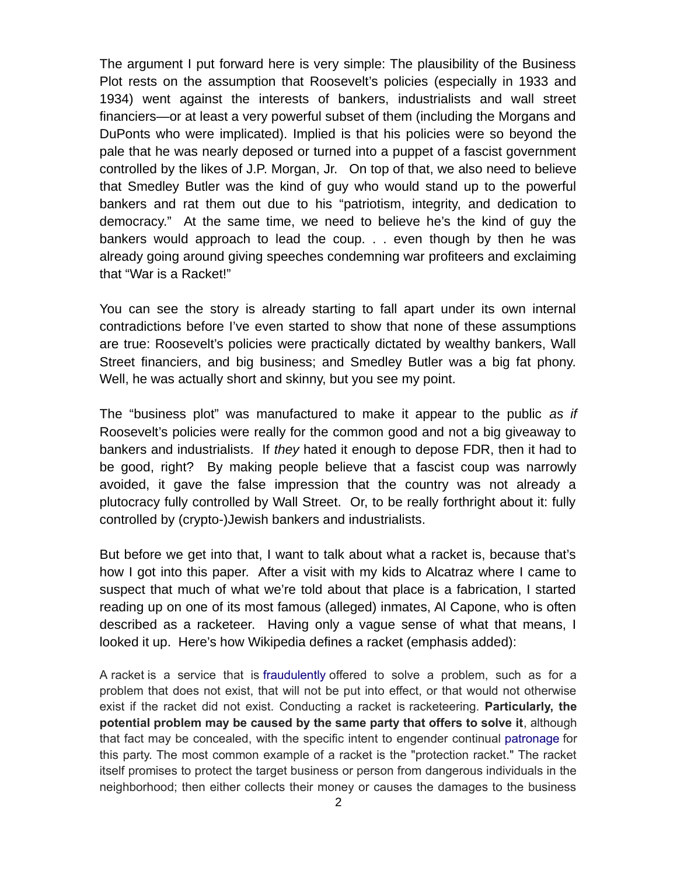The argument I put forward here is very simple: The plausibility of the Business Plot rests on the assumption that Roosevelt's policies (especially in 1933 and 1934) went against the interests of bankers, industrialists and wall street financiers—or at least a very powerful subset of them (including the Morgans and DuPonts who were implicated). Implied is that his policies were so beyond the pale that he was nearly deposed or turned into a puppet of a fascist government controlled by the likes of J.P. Morgan, Jr. On top of that, we also need to believe that Smedley Butler was the kind of guy who would stand up to the powerful bankers and rat them out due to his "patriotism, integrity, and dedication to democracy." At the same time, we need to believe he's the kind of guy the bankers would approach to lead the coup. . . even though by then he was already going around giving speeches condemning war profiteers and exclaiming that "War is a Racket!"

You can see the story is already starting to fall apart under its own internal contradictions before I've even started to show that none of these assumptions are true: Roosevelt's policies were practically dictated by wealthy bankers, Wall Street financiers, and big business; and Smedley Butler was a big fat phony. Well, he was actually short and skinny, but you see my point.

The "business plot" was manufactured to make it appear to the public *as if* Roosevelt's policies were really for the common good and not a big giveaway to bankers and industrialists. If *they* hated it enough to depose FDR, then it had to be good, right? By making people believe that a fascist coup was narrowly avoided, it gave the false impression that the country was not already a plutocracy fully controlled by Wall Street. Or, to be really forthright about it: fully controlled by (crypto-)Jewish bankers and industrialists.

But before we get into that, I want to talk about what a racket is, because that's how I got into this paper. After a visit with my kids to Alcatraz where I came to suspect that much of what we're told about that place is a fabrication, I started reading up on one of its most famous (alleged) inmates, Al Capone, who is often described as a racketeer. Having only a vague sense of what that means, I looked it up. Here's how Wikipedia defines a racket (emphasis added):

A racket is a service that is [fraudulently](https://en.wikipedia.org/wiki/Fraud) offered to solve a problem, such as for a problem that does not exist, that will not be put into effect, or that would not otherwise exist if the racket did not exist. Conducting a racket is racketeering. **Particularly, the potential problem may be caused by the same party that offers to solve it**, although that fact may be concealed, with the specific intent to engender continual [patronage](https://en.wikipedia.org/wiki/Patronage) for this party. The most common example of a racket is the "protection racket." The racket itself promises to protect the target business or person from dangerous individuals in the neighborhood; then either collects their money or causes the damages to the business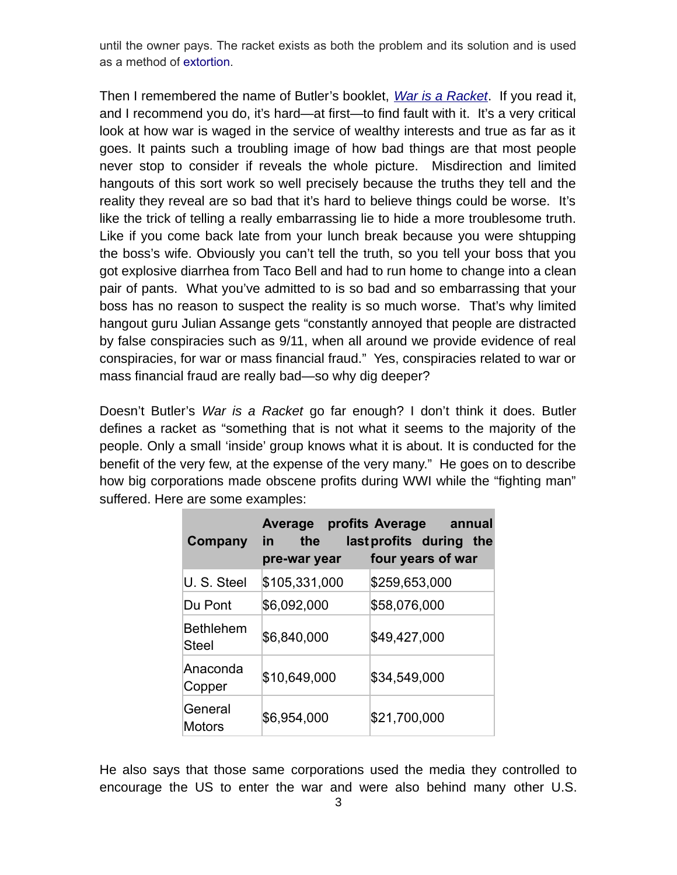until the owner pays. The racket exists as both the problem and its solution and is used as a method of [extortion.](https://en.wikipedia.org/wiki/Extortion)

Then I remembered the name of Butler's booklet, *[War is a Racket](http://warisaracket.com/)*. If you read it, and I recommend you do, it's hard—at first—to find fault with it. It's a very critical look at how war is waged in the service of wealthy interests and true as far as it goes. It paints such a troubling image of how bad things are that most people never stop to consider if reveals the whole picture. Misdirection and limited hangouts of this sort work so well precisely because the truths they tell and the reality they reveal are so bad that it's hard to believe things could be worse. It's like the trick of telling a really embarrassing lie to hide a more troublesome truth. Like if you come back late from your lunch break because you were shtupping the boss's wife. Obviously you can't tell the truth, so you tell your boss that you got explosive diarrhea from Taco Bell and had to run home to change into a clean pair of pants. What you've admitted to is so bad and so embarrassing that your boss has no reason to suspect the reality is so much worse. That's why limited hangout guru Julian Assange gets "constantly annoyed that people are distracted by false conspiracies such as 9/11, when all around we provide evidence of real conspiracies, for war or mass financial fraud." Yes, conspiracies related to war or mass financial fraud are really bad—so why dig deeper?

Doesn't Butler's *War is a Racket* go far enough? I don't think it does. Butler defines a racket as "something that is not what it seems to the majority of the people. Only a small 'inside' group knows what it is about. It is conducted for the benefit of the very few, at the expense of the very many." He goes on to describe how big corporations made obscene profits during WWI while the "fighting man" suffered. Here are some examples:

| Company                   | the<br>in l<br>pre-war year | Average profits Average annual<br>last profits during the<br>four years of war |
|---------------------------|-----------------------------|--------------------------------------------------------------------------------|
| U. S. Steel               | \$105,331,000               | \$259,653,000                                                                  |
| Du Pont                   | \$6,092,000                 | \$58,076,000                                                                   |
| <b>Bethlehem</b><br>Steel | \$6,840,000                 | \$49,427,000                                                                   |
| Anaconda<br>Copper        | \$10,649,000                | \$34,549,000                                                                   |
| General<br><b>Motors</b>  | \$6,954,000                 | \$21,700,000                                                                   |

He also says that those same corporations used the media they controlled to encourage the US to enter the war and were also behind many other U.S.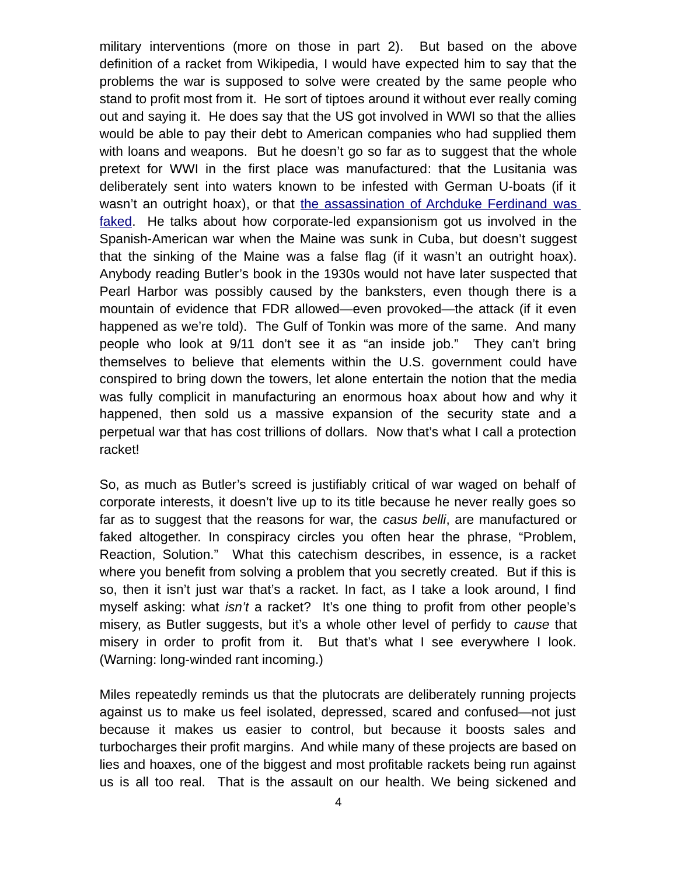military interventions (more on those in part 2). But based on the above definition of a racket from Wikipedia, I would have expected him to say that the problems the war is supposed to solve were created by the same people who stand to profit most from it. He sort of tiptoes around it without ever really coming out and saying it. He does say that the US got involved in WWI so that the allies would be able to pay their debt to American companies who had supplied them with loans and weapons. But he doesn't go so far as to suggest that the whole pretext for WWI in the first place was manufactured: that the Lusitania was deliberately sent into waters known to be infested with German U-boats (if it wasn't an outright hoax), or that [the assassination of Archduke Ferdinand was](https://vexmansthoughts.wordpress.com/2017/01/20/was-gavrilo-princip-an-agent/) [faked.](https://vexmansthoughts.wordpress.com/2017/01/20/was-gavrilo-princip-an-agent/) He talks about how corporate-led expansionism got us involved in the Spanish-American war when the Maine was sunk in Cuba, but doesn't suggest that the sinking of the Maine was a false flag (if it wasn't an outright hoax). Anybody reading Butler's book in the 1930s would not have later suspected that Pearl Harbor was possibly caused by the banksters, even though there is a mountain of evidence that FDR allowed—even provoked—the attack (if it even happened as we're told). The Gulf of Tonkin was more of the same. And many people who look at 9/11 don't see it as "an inside job." They can't bring themselves to believe that elements within the U.S. government could have conspired to bring down the towers, let alone entertain the notion that the media was fully complicit in manufacturing an enormous hoax about how and why it happened, then sold us a massive expansion of the security state and a perpetual war that has cost trillions of dollars. Now that's what I call a protection racket!

So, as much as Butler's screed is justifiably critical of war waged on behalf of corporate interests, it doesn't live up to its title because he never really goes so far as to suggest that the reasons for war, the *casus belli*, are manufactured or faked altogether. In conspiracy circles you often hear the phrase, "Problem, Reaction, Solution." What this catechism describes, in essence, is a racket where you benefit from solving a problem that you secretly created. But if this is so, then it isn't just war that's a racket. In fact, as I take a look around, I find myself asking: what *isn't* a racket? It's one thing to profit from other people's misery, as Butler suggests, but it's a whole other level of perfidy to *cause* that misery in order to profit from it. But that's what I see everywhere I look. (Warning: long-winded rant incoming.)

Miles repeatedly reminds us that the plutocrats are deliberately running projects against us to make us feel isolated, depressed, scared and confused—not just because it makes us easier to control, but because it boosts sales and turbocharges their profit margins. And while many of these projects are based on lies and hoaxes, one of the biggest and most profitable rackets being run against us is all too real. That is the assault on our health. We being sickened and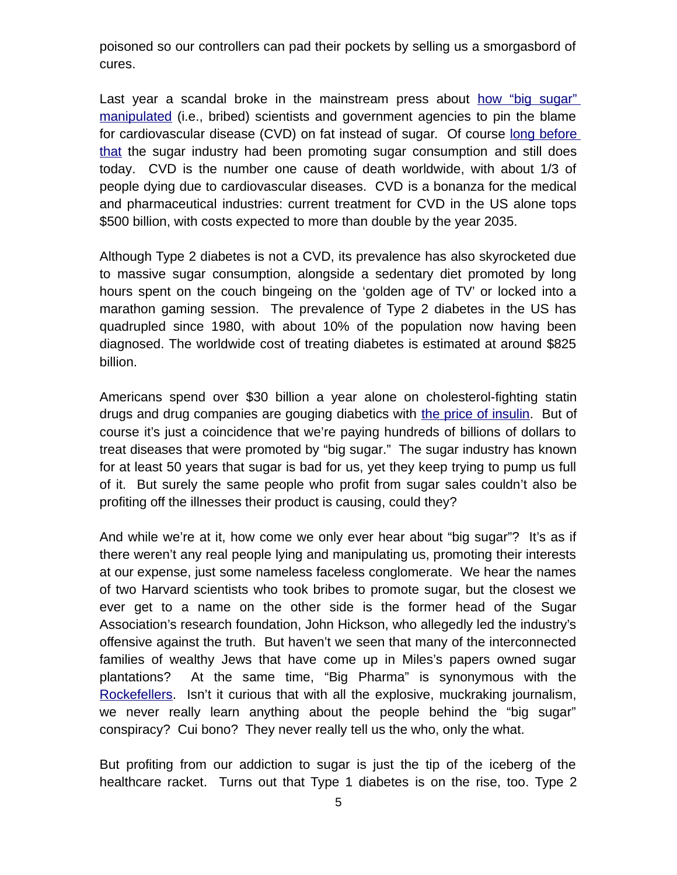poisoned so our controllers can pad their pockets by selling us a smorgasbord of cures.

Last year a scandal broke in the mainstream press about [how "big sugar"](https://www.nytimes.com/2016/09/13/well/eat/how-the-sugar-industry-shifted-blame-to-fat.html) [manipulated](https://www.nytimes.com/2016/09/13/well/eat/how-the-sugar-industry-shifted-blame-to-fat.html) (i.e., bribed) scientists and government agencies to pin the blame for cardiovascular disease (CVD) on fat instead of sugar. Of course [long before](https://www.nytimes.com/2016/09/17/opinion/the-shady-history-of-big-sugar.html) [that](https://www.nytimes.com/2016/09/17/opinion/the-shady-history-of-big-sugar.html) the sugar industry had been promoting sugar consumption and still does today. CVD is the number one cause of death worldwide, with about 1/3 of people dying due to cardiovascular diseases. CVD is a bonanza for the medical and pharmaceutical industries: current treatment for CVD in the US alone tops \$500 billion, with costs expected to more than double by the year 2035.

Although Type 2 diabetes is not a CVD, its prevalence has also skyrocketed due to massive sugar consumption, alongside a sedentary diet promoted by long hours spent on the couch bingeing on the 'golden age of TV' or locked into a marathon gaming session. The prevalence of Type 2 diabetes in the US has quadrupled since 1980, with about 10% of the population now having been diagnosed. The worldwide cost of treating diabetes is estimated at around \$825 billion.

Americans spend over \$30 billion a year alone on cholesterol-fighting statin drugs and drug companies are gouging diabetics with [the price of insulin.](https://www.washingtonpost.com/news/wonk/wp/2016/10/31/why-insulin-prices-have-kept-rising-for-95-years/) But of course it's just a coincidence that we're paying hundreds of billions of dollars to treat diseases that were promoted by "big sugar." The sugar industry has known for at least 50 years that sugar is bad for us, yet they keep trying to pump us full of it. But surely the same people who profit from sugar sales couldn't also be profiting off the illnesses their product is causing, could they?

And while we're at it, how come we only ever hear about "big sugar"? It's as if there weren't any real people lying and manipulating us, promoting their interests at our expense, just some nameless faceless conglomerate. We hear the names of two Harvard scientists who took bribes to promote sugar, but the closest we ever get to a name on the other side is the former head of the Sugar Association's research foundation, John Hickson, who allegedly led the industry's offensive against the truth. But haven't we seen that many of the interconnected families of wealthy Jews that have come up in Miles's papers owned sugar plantations? At the same time, "Big Pharma" is synonymous with the [Rockefellers.](http://yournewswire.com/big-pharma-was-invented-by-the-rockefellers/) Isn't it curious that with all the explosive, muckraking journalism, we never really learn anything about the people behind the "big sugar" conspiracy? Cui bono? They never really tell us the who, only the what.

But profiting from our addiction to sugar is just the tip of the iceberg of the healthcare racket. Turns out that Type 1 diabetes is on the rise, too. Type 2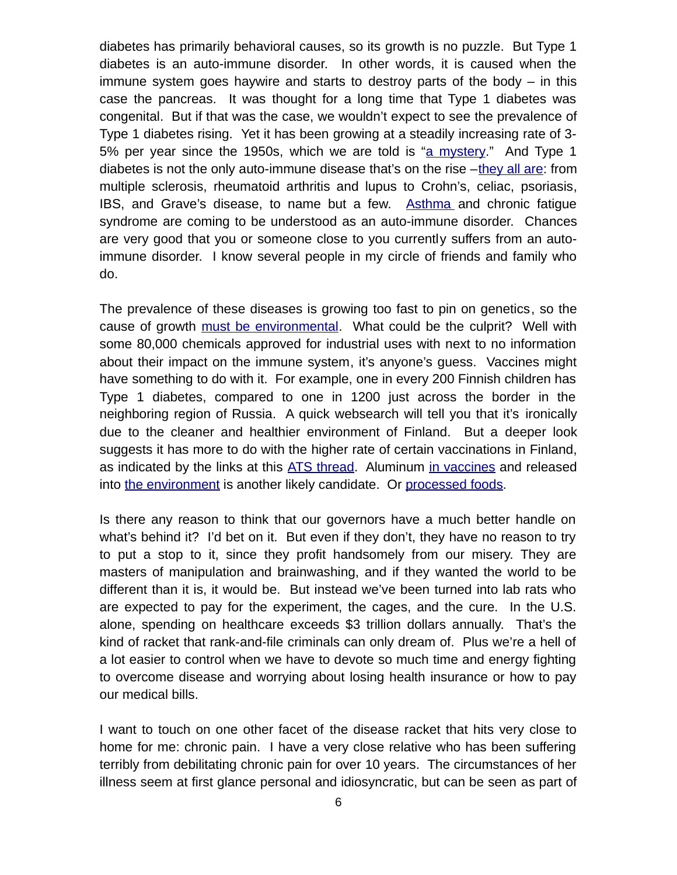diabetes has primarily behavioral causes, so its growth is no puzzle. But Type 1 diabetes is an auto-immune disorder. In other words, it is caused when the immune system goes haywire and starts to destroy parts of the body – in this case the pancreas. It was thought for a long time that Type 1 diabetes was congenital. But if that was the case, we wouldn't expect to see the prevalence of Type 1 diabetes rising. Yet it has been growing at a steadily increasing rate of 3- 5% per year since the 1950s, which we are told is ["a mystery.](https://www.scientificamerican.com/article/a-diabetes-cliffhanger/)" And Type 1 diabetes is not the only auto-immune disease that's on the rise  $-\frac{1}{2}$  all are: from multiple sclerosis, rheumatoid arthritis and lupus to Crohn's, celiac, psoriasis, IBS, and Grave's disease, to name but a few. Asthma and chronic fatique syndrome are coming to be understood as an auto-immune disorder. Chances are very good that you or someone close to you currently suffers from an autoimmune disorder. I know several people in my circle of friends and family who do.

The prevalence of these diseases is growing too fast to pin on genetics, so the cause of growth [must be environmental.](https://www.ncbi.nlm.nih.gov/pmc/articles/PMC3114837/) What could be the culprit? Well with some 80,000 chemicals approved for industrial uses with next to no information about their impact on the immune system, it's anyone's guess. Vaccines might have something to do with it. For example, one in every 200 Finnish children has Type 1 diabetes, compared to one in 1200 just across the border in the neighboring region of Russia. A quick websearch will tell you that it's ironically due to the cleaner and healthier environment of Finland. But a deeper look suggests it has more to do with the higher rate of certain vaccinations in Finland, as indicated by the links at this [ATS thread.](http://www.abovetopsecret.com/forum/thread976921/pg1) Aluminum [in vaccines](https://www.ncbi.nlm.nih.gov/pubmed/22235057) and released into [the environment](http://mileswmathis.com/chem2.pdf) is another likely candidate. Or [processed foods.](https://multiplesclerosisnewstoday.com/2016/01/08/rise-ms-autoimmune-disease-linked-processed-foods/)

Is there any reason to think that our governors have a much better handle on what's behind it? I'd bet on it. But even if they don't, they have no reason to try to put a stop to it, since they profit handsomely from our misery. They are masters of manipulation and brainwashing, and if they wanted the world to be different than it is, it would be. But instead we've been turned into lab rats who are expected to pay for the experiment, the cages, and the cure. In the U.S. alone, spending on healthcare exceeds \$3 trillion dollars annually. That's the kind of racket that rank-and-file criminals can only dream of. Plus we're a hell of a lot easier to control when we have to devote so much time and energy fighting to overcome disease and worrying about losing health insurance or how to pay our medical bills.

I want to touch on one other facet of the disease racket that hits very close to home for me: chronic pain. I have a very close relative who has been suffering terribly from debilitating chronic pain for over 10 years. The circumstances of her illness seem at first glance personal and idiosyncratic, but can be seen as part of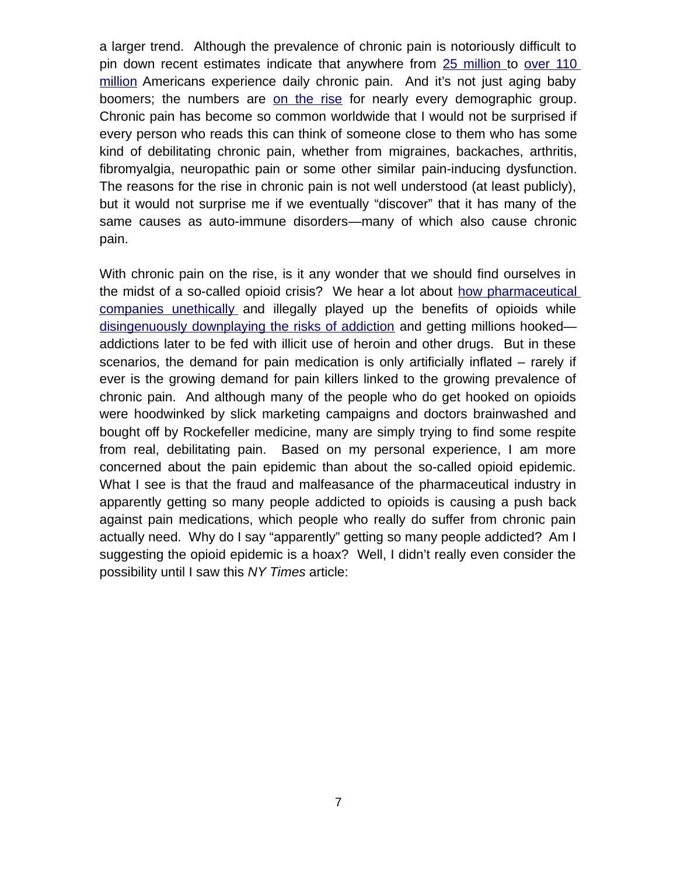a larger trend. Although the prevalence of chronic pain is notoriously difficult to pin down recent estimates indicate that anywhere from [25 million t](http://americanpainsociety.org/about-us/press-room/nih-study-shows-prevalence-of-chronic-or-severe-pain-in-u-s-adults)o [over 110](https://www.ncbi.nlm.nih.gov/books/NBK92525/) [million](https://www.ncbi.nlm.nih.gov/books/NBK92525/) Americans experience daily chronic pain. And it's not just aging baby boomers; the numbers are [on the rise](https://www.ncbi.nlm.nih.gov/books/NBK92516/table/ch2.t2/?report=objectonly) for nearly every demographic group. Chronic pain has become so common worldwide that I would not be surprised if every person who reads this can think of someone close to them who has some kind of debilitating chronic pain, whether from migraines, backaches, arthritis, fibromyalgia, neuropathic pain or some other similar pain-inducing dysfunction. The reasons for the rise in chronic pain is not well understood (at least publicly), but it would not surprise me if we eventually "discover" that it has many of the same causes as auto-immune disorders—many of which also cause chronic pain.

With chronic pain on the rise, is it any wonder that we should find ourselves in the midst of a so-called opioid crisis? We hear a lot about [how pharmaceutical](http://www.ocregister.com/2014/05/22/oc-da-santa-clara-county-sue-opioid-makers-for-deaths/) companies unethically and illegally played up the benefits of opioids while [disingenuously downplaying the risks of addiction](http://www.nytimes.com/2007/05/10/business/11drug-web.html) and getting millions hooked addictions later to be fed with illicit use of heroin and other drugs. But in these scenarios, the demand for pain medication is only artificially inflated – rarely if ever is the growing demand for pain killers linked to the growing prevalence of chronic pain. And although many of the people who do get hooked on opioids were hoodwinked by slick marketing campaigns and doctors brainwashed and bought off by Rockefeller medicine, many are simply trying to find some respite from real, debilitating pain. Based on my personal experience, I am more concerned about the pain epidemic than about the so-called opioid epidemic. What I see is that the fraud and malfeasance of the pharmaceutical industry in apparently getting so many people addicted to opioids is causing a push back against pain medications, which people who really do suffer from chronic pain actually need. Why do I say "apparently" getting so many people addicted? Am I suggesting the opioid epidemic is a hoax? Well, I didn't really even consider the possibility until I saw this *NY Times* article: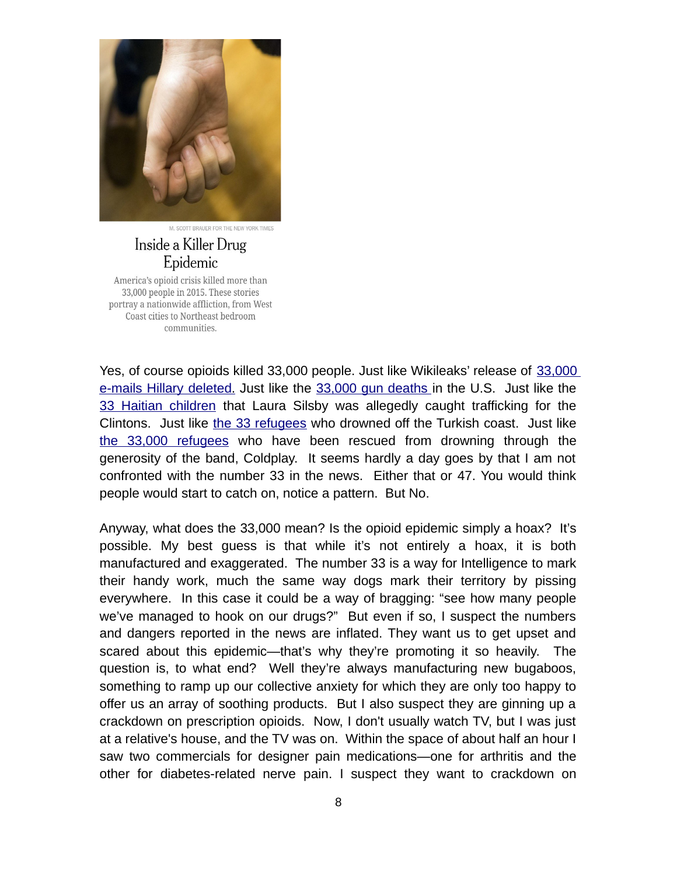

M. SCOTT BRAUER FOR THE NEW YORK TIMES

#### Inside a Killer Drug Epidemic

America's opioid crisis killed more than 33,000 people in 2015. These stories portray a nationwide affliction, from West Coast cities to Northeast bedroom communities.

Yes, of course opioids killed 33,000 people. Just like Wikileaks' release of [33,000](http://abcnews.go.com/Politics/hillary-clinton-deleted-33000-emails-secretary-state/story?id=42389308) e-mails Hillary deleted. Just like the [33,000 gun deaths](https://fivethirtyeight.com/features/gun-deaths/) in the U.S. Just like the [33 Haitian children](https://en.wikipedia.org/wiki/New_Life_Children) that Laura Silsby was allegedly caught trafficking for the Clintons. Just like [the 33 refugees](http://www.aljazeera.com/news/2016/02/33-refugees-drown-turkish-coast-160208130920304.html) who drowned off the Turkish coast. Just like [the 33,000 refugees](https://www.theguardian.com/music/2017/feb/02/coldplay-chris-martin-migrant-offshore-aid-station-charity) who have been rescued from drowning through the generosity of the band, Coldplay. It seems hardly a day goes by that I am not confronted with the number 33 in the news. Either that or 47. You would think people would start to catch on, notice a pattern. But No.

Anyway, what does the 33,000 mean? Is the opioid epidemic simply a hoax? It's possible. My best guess is that while it's not entirely a hoax, it is both manufactured and exaggerated. The number 33 is a way for Intelligence to mark their handy work, much the same way dogs mark their territory by pissing everywhere. In this case it could be a way of bragging: "see how many people we've managed to hook on our drugs?" But even if so, I suspect the numbers and dangers reported in the news are inflated. They want us to get upset and scared about this epidemic—that's why they're promoting it so heavily. The question is, to what end? Well they're always manufacturing new bugaboos, something to ramp up our collective anxiety for which they are only too happy to offer us an array of soothing products. But I also suspect they are ginning up a crackdown on prescription opioids. Now, I don't usually watch TV, but I was just at a relative's house, and the TV was on. Within the space of about half an hour I saw two commercials for designer pain medications—one for arthritis and the other for diabetes-related nerve pain. I suspect they want to crackdown on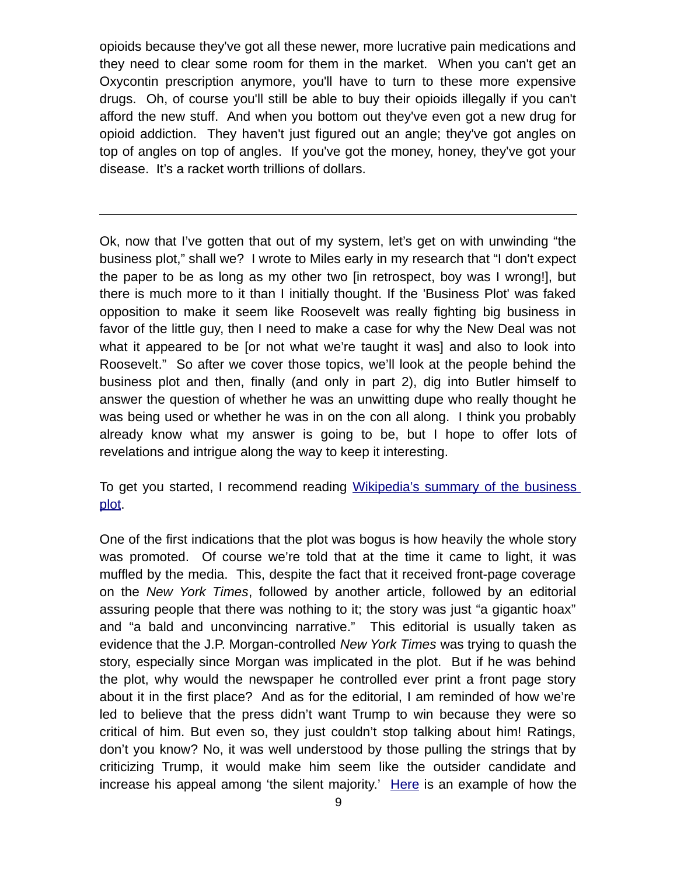opioids because they've got all these newer, more lucrative pain medications and they need to clear some room for them in the market. When you can't get an Oxycontin prescription anymore, you'll have to turn to these more expensive drugs. Oh, of course you'll still be able to buy their opioids illegally if you can't afford the new stuff. And when you bottom out they've even got a new drug for opioid addiction. They haven't just figured out an angle; they've got angles on top of angles on top of angles. If you've got the money, honey, they've got your disease. It's a racket worth trillions of dollars.

Ok, now that I've gotten that out of my system, let's get on with unwinding "the business plot," shall we? I wrote to Miles early in my research that "I don't expect the paper to be as long as my other two [in retrospect, boy was I wrong!], but there is much more to it than I initially thought. If the 'Business Plot' was faked opposition to make it seem like Roosevelt was really fighting big business in favor of the little guy, then I need to make a case for why the New Deal was not what it appeared to be [or not what we're taught it was] and also to look into Roosevelt." So after we cover those topics, we'll look at the people behind the business plot and then, finally (and only in part 2), dig into Butler himself to answer the question of whether he was an unwitting dupe who really thought he was being used or whether he was in on the con all along. I think you probably already know what my answer is going to be, but I hope to offer lots of revelations and intrigue along the way to keep it interesting.

To get you started, I recommend reading [Wikipedia's summary of the business](https://en.wikipedia.org/wiki/Business_Plot) [plot.](https://en.wikipedia.org/wiki/Business_Plot)

One of the first indications that the plot was bogus is how heavily the whole story was promoted. Of course we're told that at the time it came to light, it was muffled by the media. This, despite the fact that it received front-page coverage on the *New York Times*, followed by another article, followed by an editorial assuring people that there was nothing to it; the story was just "a gigantic hoax" and "a bald and unconvincing narrative." This editorial is usually taken as evidence that the J.P. Morgan-controlled *New York Times* was trying to quash the story, especially since Morgan was implicated in the plot. But if he was behind the plot, why would the newspaper he controlled ever print a front page story about it in the first place? And as for the editorial, I am reminded of how we're led to believe that the press didn't want Trump to win because they were so critical of him. But even so, they just couldn't stop talking about him! Ratings, don't you know? No, it was well understood by those pulling the strings that by criticizing Trump, it would make him seem like the outsider candidate and increase his appeal among 'the silent majority.' [Here](http://www.cc.com/video-clips/in35c7/the-daily-show-with-jon-stewart-indecision-2012---corn-polled-edition---ron-paul---the-top-tier) is an example of how the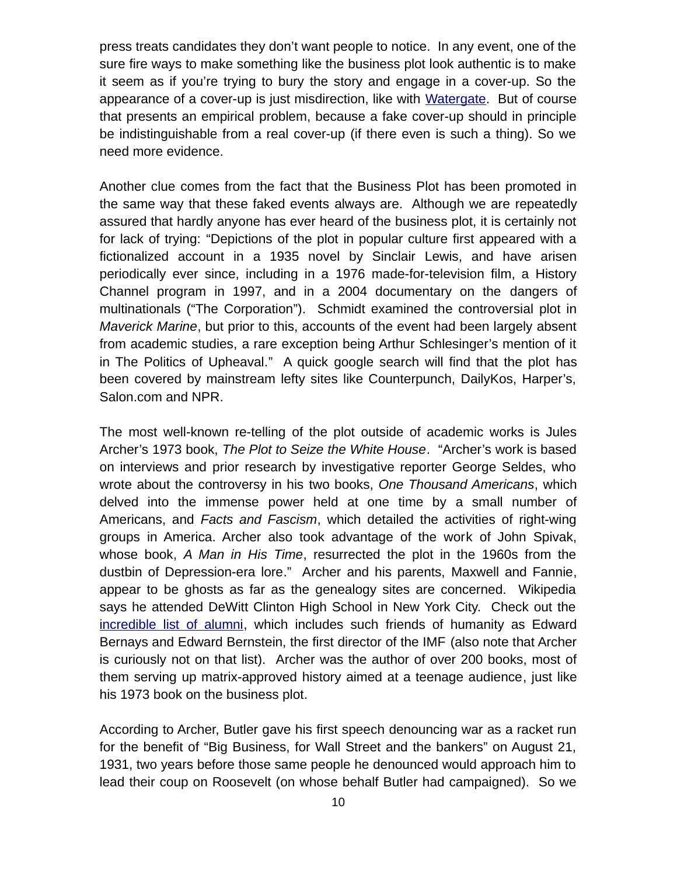press treats candidates they don't want people to notice. In any event, one of the sure fire ways to make something like the business plot look authentic is to make it seem as if you're trying to bury the story and engage in a cover-up. So the appearance of a cover-up is just misdirection, like with [Watergate.](http://mileswmathis.com/watergate.pdf) But of course that presents an empirical problem, because a fake cover-up should in principle be indistinguishable from a real cover-up (if there even is such a thing). So we need more evidence.

Another clue comes from the fact that the Business Plot has been promoted in the same way that these faked events always are. Although we are repeatedly assured that hardly anyone has ever heard of the business plot, it is certainly not for lack of trying: "Depictions of the plot in popular culture first appeared with a fictionalized account in a 1935 novel by Sinclair Lewis, and have arisen periodically ever since, including in a 1976 made-for-television film, a History Channel program in 1997, and in a 2004 documentary on the dangers of multinationals ("The Corporation"). Schmidt examined the controversial plot in *Maverick Marine*, but prior to this, accounts of the event had been largely absent from academic studies, a rare exception being Arthur Schlesinger's mention of it in The Politics of Upheaval." A quick google search will find that the plot has been covered by mainstream lefty sites like Counterpunch, DailyKos, Harper's, Salon.com and NPR.

The most well-known re-telling of the plot outside of academic works is Jules Archer's 1973 book, *The Plot to Seize the White House*. "Archer's work is based on interviews and prior research by investigative reporter George Seldes, who wrote about the controversy in his two books, *One Thousand Americans*, which delved into the immense power held at one time by a small number of Americans, and *Facts and Fascism*, which detailed the activities of right-wing groups in America. Archer also took advantage of the work of John Spivak, whose book, *A Man in His Time*, resurrected the plot in the 1960s from the dustbin of Depression-era lore." Archer and his parents, Maxwell and Fannie, appear to be ghosts as far as the genealogy sites are concerned. Wikipedia says he attended DeWitt Clinton High School in New York City. Check out the [incredible list of alumni,](https://en.wikipedia.org/wiki/DeWitt_Clinton_High_School#Notable_alumni) which includes such friends of humanity as Edward Bernays and Edward Bernstein, the first director of the IMF (also note that Archer is curiously not on that list). Archer was the author of over 200 books, most of them serving up matrix-approved history aimed at a teenage audience, just like his 1973 book on the business plot.

According to Archer, Butler gave his first speech denouncing war as a racket run for the benefit of "Big Business, for Wall Street and the bankers" on August 21, 1931, two years before those same people he denounced would approach him to lead their coup on Roosevelt (on whose behalf Butler had campaigned). So we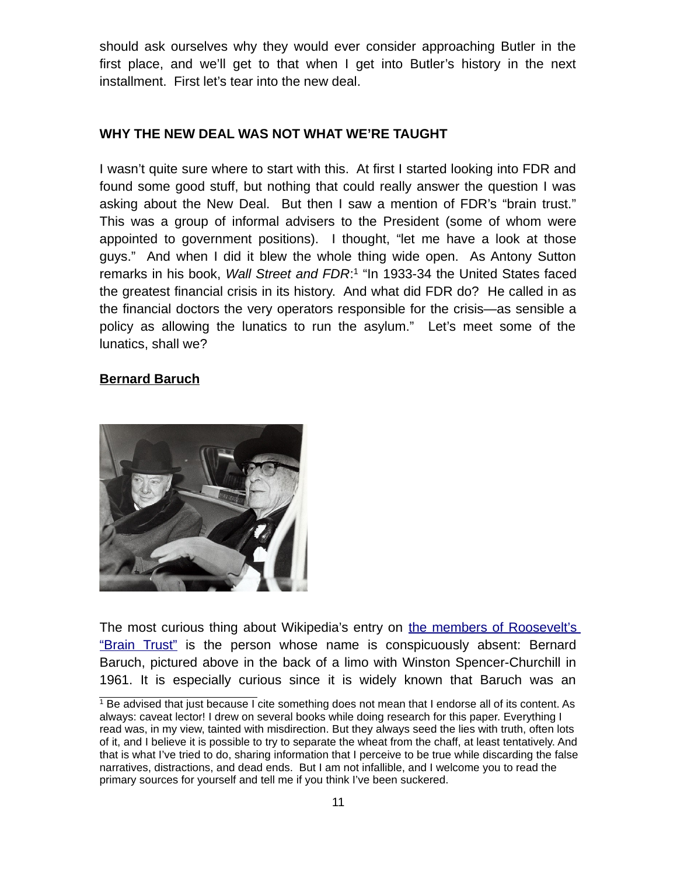should ask ourselves why they would ever consider approaching Butler in the first place, and we'll get to that when I get into Butler's history in the next installment. First let's tear into the new deal.

#### **WHY THE NEW DEAL WAS NOT WHAT WE'RE TAUGHT**

I wasn't quite sure where to start with this. At first I started looking into FDR and found some good stuff, but nothing that could really answer the question I was asking about the New Deal. But then I saw a mention of FDR's "brain trust." This was a group of informal advisers to the President (some of whom were appointed to government positions). I thought, "let me have a look at those guys." And when I did it blew the whole thing wide open. As Antony Sutton remarks in his book, *Wall Street and FDR*:<sup>[1](#page-10-0)</sup> "In 1933-34 the United States faced the greatest financial crisis in its history. And what did FDR do? He called in as the financial doctors the very operators responsible for the crisis—as sensible a policy as allowing the lunatics to run the asylum." Let's meet some of the lunatics, shall we?

#### **Bernard Baruch**



The most curious thing about Wikipedia's entry on [the members of Roosevelt's](https://en.wikipedia.org/wiki/Brain_trust#Members) ["Brain Trust"](https://en.wikipedia.org/wiki/Brain_trust#Members) is the person whose name is conspicuously absent: Bernard Baruch, pictured above in the back of a limo with Winston Spencer-Churchill in 1961. It is especially curious since it is widely known that Baruch was an

<span id="page-10-0"></span> $^{\rm 1}$  Be advised that just because I cite something does not mean that I endorse all of its content. As always: caveat lector! I drew on several books while doing research for this paper. Everything I read was, in my view, tainted with misdirection. But they always seed the lies with truth, often lots of it, and I believe it is possible to try to separate the wheat from the chaff, at least tentatively. And that is what I've tried to do, sharing information that I perceive to be true while discarding the false narratives, distractions, and dead ends. But I am not infallible, and I welcome you to read the primary sources for yourself and tell me if you think I've been suckered.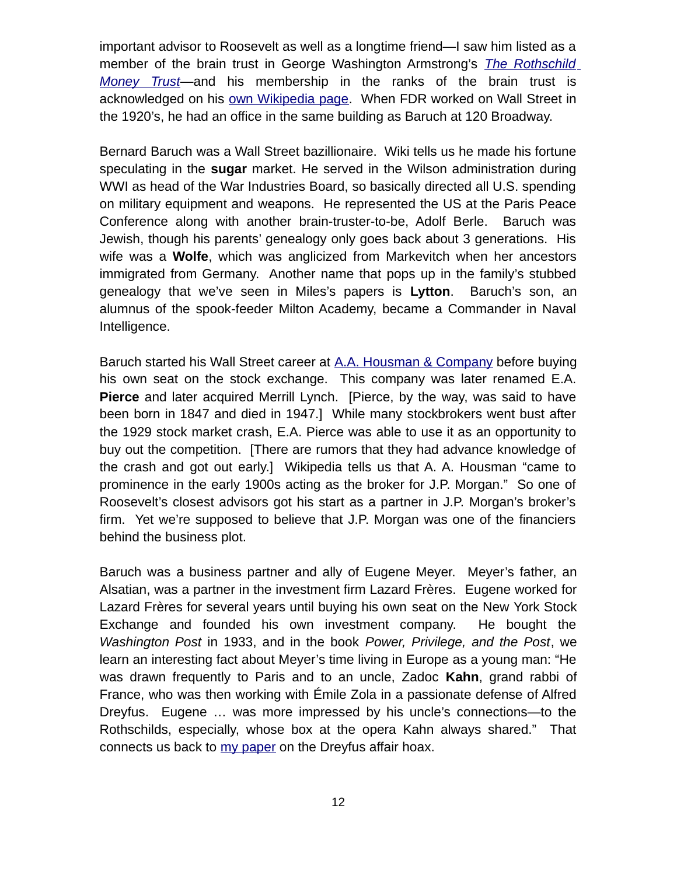important advisor to Roosevelt as well as a longtime friend—I saw him listed as a member of the brain trust in George Washington Armstrong's *[The Rothschild](https://archive.org/details/RothschildMoneyTrust) [Money Trust](https://archive.org/details/RothschildMoneyTrust)*—and his membership in the ranks of the brain trust is acknowledged on his [own Wikipedia page.](https://en.wikipedia.org/wiki/Bernard_Baruch) When FDR worked on Wall Street in the 1920's, he had an office in the same building as Baruch at 120 Broadway.

Bernard Baruch was a Wall Street bazillionaire. Wiki tells us he made his fortune speculating in the **sugar** market. He served in the Wilson administration during WWI as head of the War Industries Board, so basically directed all U.S. spending on military equipment and weapons. He represented the US at the Paris Peace Conference along with another brain-truster-to-be, Adolf Berle. Baruch was Jewish, though his parents' genealogy only goes back about 3 generations. His wife was a **Wolfe**, which was anglicized from Markevitch when her ancestors immigrated from Germany. Another name that pops up in the family's stubbed genealogy that we've seen in Miles's papers is **Lytton**. Baruch's son, an alumnus of the spook-feeder Milton Academy, became a Commander in Naval Intelligence.

Baruch started his Wall Street career at [A.A. Housman & Company](https://en.wikipedia.org/wiki/E.A._Pierce_%26_Co.) before buying his own seat on the stock exchange. This company was later renamed E.A. **Pierce** and later acquired Merrill Lynch. [Pierce, by the way, was said to have been born in 1847 and died in 1947.] While many stockbrokers went bust after the 1929 stock market crash, E.A. Pierce was able to use it as an opportunity to buy out the competition. [There are rumors that they had advance knowledge of the crash and got out early.] Wikipedia tells us that A. A. Housman "came to prominence in the early 1900s acting as the broker for J.P. Morgan." So one of Roosevelt's closest advisors got his start as a partner in J.P. Morgan's broker's firm. Yet we're supposed to believe that J.P. Morgan was one of the financiers behind the business plot.

Baruch was a business partner and ally of Eugene Meyer. Meyer's father, an Alsatian, was a partner in the investment firm Lazard Frères. Eugene worked for Lazard Frères for several years until buying his own seat on the New York Stock Exchange and founded his own investment company. He bought the *Washington Post* in 1933, and in the book *Power, Privilege, and the Post*, we learn an interesting fact about Meyer's time living in Europe as a young man: "He was drawn frequently to Paris and to an uncle, Zadoc **Kahn**, grand rabbi of France, who was then working with Émile Zola in a passionate defense of Alfred Dreyfus. Eugene … was more impressed by his uncle's connections—to the Rothschilds, especially, whose box at the opera Kahn always shared." That connects us back to [my paper](file:///AppData/Roaming/Microsoft/Word/mileswmathis.com/dreyfus.pdf) on the Dreyfus affair hoax.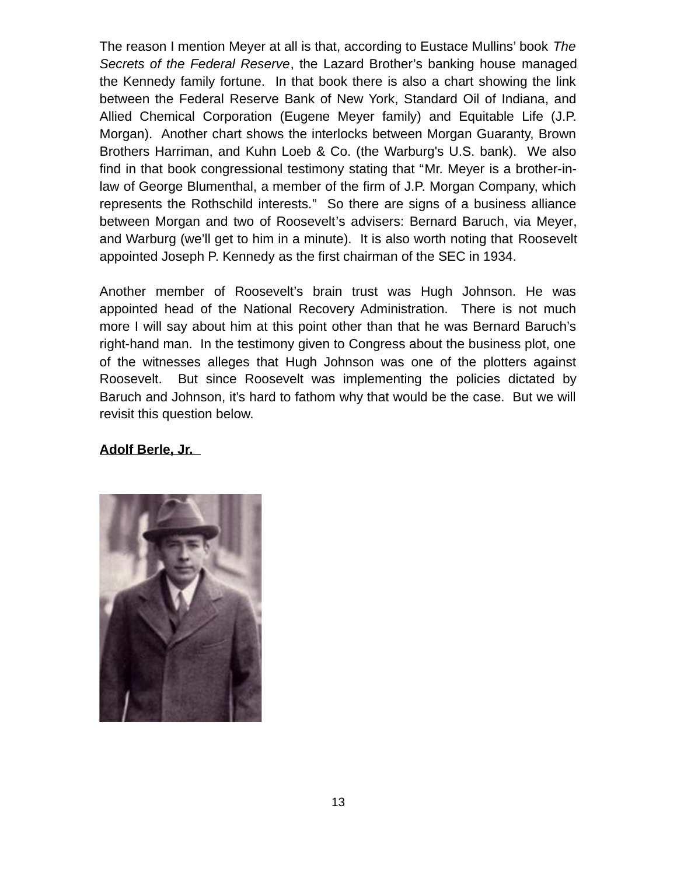The reason I mention Meyer at all is that, according to Eustace Mullins' book *The Secrets of the Federal Reserve*, the Lazard Brother's banking house managed the Kennedy family fortune. In that book there is also a chart showing the link between the Federal Reserve Bank of New York, Standard Oil of Indiana, and Allied Chemical Corporation (Eugene Meyer family) and Equitable Life (J.P. Morgan). Another chart shows the interlocks between Morgan Guaranty, Brown Brothers Harriman, and Kuhn Loeb & Co. (the Warburg's U.S. bank). We also find in that book congressional testimony stating that "Mr. Meyer is a brother-inlaw of George Blumenthal, a member of the firm of J.P. Morgan Company, which represents the Rothschild interests." So there are signs of a business alliance between Morgan and two of Roosevelt's advisers: Bernard Baruch, via Meyer, and Warburg (we'll get to him in a minute). It is also worth noting that Roosevelt appointed Joseph P. Kennedy as the first chairman of the SEC in 1934.

Another member of Roosevelt's brain trust was Hugh Johnson. He was appointed head of the National Recovery Administration. There is not much more I will say about him at this point other than that he was Bernard Baruch's right-hand man. In the testimony given to Congress about the business plot, one of the witnesses alleges that Hugh Johnson was one of the plotters against Roosevelt. But since Roosevelt was implementing the policies dictated by Baruch and Johnson, it's hard to fathom why that would be the case. But we will revisit this question below.

#### **Adolf Berle, Jr.**

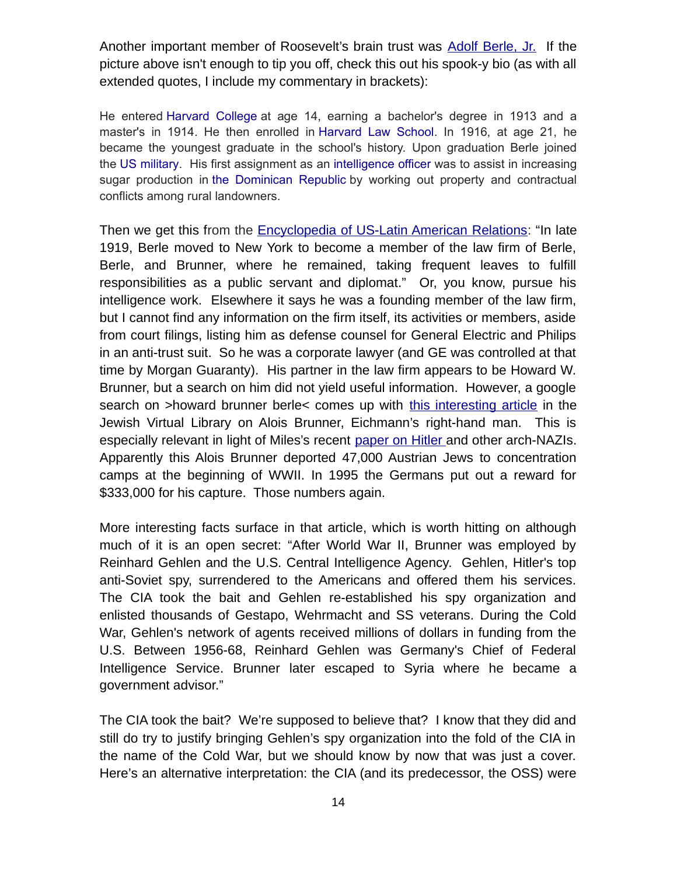Another important member of Roosevelt's brain trust was [Adolf Berle, Jr.](https://en.wikipedia.org/wiki/Adolf_A._Berle) If the picture above isn't enough to tip you off, check this out his spook-y bio (as with all extended quotes, I include my commentary in brackets):

He entered [Harvard College](https://en.wikipedia.org/wiki/Harvard_College) at age 14, earning a bachelor's degree in 1913 and a master's in 1914. He then enrolled in [Harvard Law School.](https://en.wikipedia.org/wiki/Harvard_Law_School) In 1916, at age 21, he became the youngest graduate in the school's history. Upon graduation Berle joined the [US military.](https://en.wikipedia.org/wiki/US_military) His first assignment as an [intelligence officer](https://en.wikipedia.org/wiki/Intelligence_officer) was to assist in increasing sugar production in [the Dominican Republic](https://en.wikipedia.org/wiki/The_Dominican_Republic) by working out property and contractual conflicts among rural landowners.

Then we get this from the **Encyclopedia of US-Latin American Relations**: "In late 1919, Berle moved to New York to become a member of the law firm of Berle, Berle, and Brunner, where he remained, taking frequent leaves to fulfill responsibilities as a public servant and diplomat." Or, you know, pursue his intelligence work. Elsewhere it says he was a founding member of the law firm, but I cannot find any information on the firm itself, its activities or members, aside from court filings, listing him as defense counsel for General Electric and Philips in an anti-trust suit. So he was a corporate lawyer (and GE was controlled at that time by Morgan Guaranty). His partner in the law firm appears to be Howard W. Brunner, but a search on him did not yield useful information. However, a google search on >howard brunner berle< comes up with [this interesting article](http://www.jewishvirtuallibrary.org/alois-brunner) in the Jewish Virtual Library on Alois Brunner, Eichmann's right-hand man. This is especially relevant in light of Miles's recent [paper on Hitler](http://mileswmathis.com/hiller.pdf)and other arch-NAZIs. Apparently this Alois Brunner deported 47,000 Austrian Jews to concentration camps at the beginning of WWII. In 1995 the Germans put out a reward for \$333,000 for his capture. Those numbers again.

More interesting facts surface in that article, which is worth hitting on although much of it is an open secret: "After World War II, Brunner was employed by Reinhard Gehlen and the U.S. Central Intelligence Agency. Gehlen, Hitler's top anti-Soviet spy, surrendered to the Americans and offered them his services. The CIA took the bait and Gehlen re-established his spy organization and enlisted thousands of Gestapo, Wehrmacht and SS veterans. During the Cold War, Gehlen's network of agents received millions of dollars in funding from the U.S. Between 1956-68, Reinhard Gehlen was Germany's Chief of Federal Intelligence Service. Brunner later escaped to Syria where he became a government advisor."

The CIA took the bait? We're supposed to believe that? I know that they did and still do try to justify bringing Gehlen's spy organization into the fold of the CIA in the name of the Cold War, but we should know by now that was just a cover. Here's an alternative interpretation: the CIA (and its predecessor, the OSS) were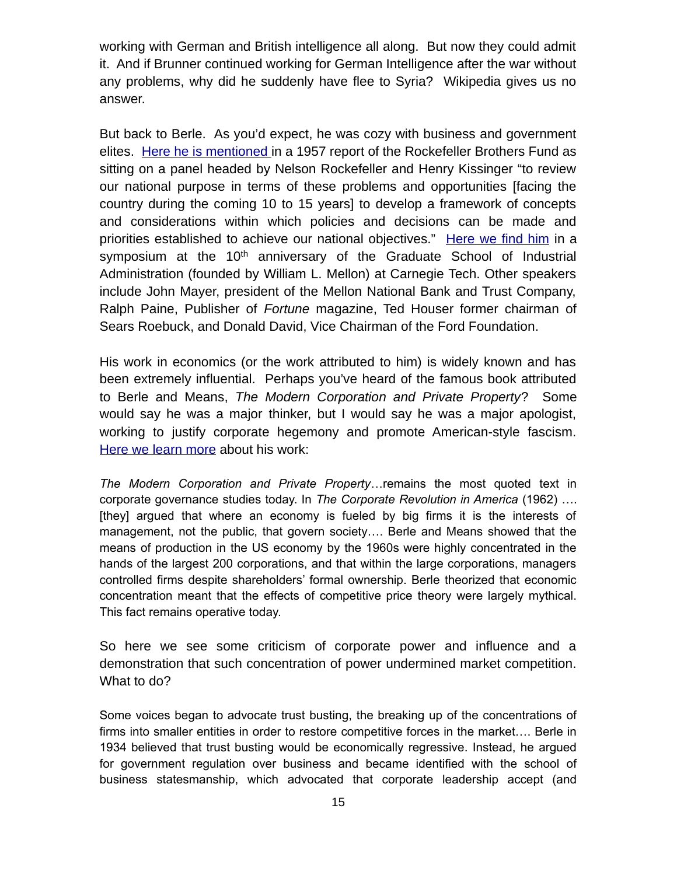working with German and British intelligence all along. But now they could admit it. And if Brunner continued working for German Intelligence after the war without any problems, why did he suddenly have flee to Syria? Wikipedia gives us no answer.

But back to Berle. As you'd expect, he was cozy with business and government elites. [Here he is mentioned](http://www.rbf.org/sites/default/files/1957-AR-web-optimized.pdf) in a 1957 report of the Rockefeller Brothers Fund as sitting on a panel headed by Nelson Rockefeller and Henry Kissinger "to review our national purpose in terms of these problems and opportunities [facing the country during the coming 10 to 15 years] to develop a framework of concepts and considerations within which policies and decisions can be made and priorities established to achieve our national objectives." [Here we find him](http://digitalcollections.library.cmu.edu/awweb/awarchive?type=file&item=58676) in a symposium at the  $10<sup>th</sup>$  anniversary of the Graduate School of Industrial Administration (founded by William L. Mellon) at Carnegie Tech. Other speakers include John Mayer, president of the Mellon National Bank and Trust Company, Ralph Paine, Publisher of *Fortune* magazine, Ted Houser former chairman of Sears Roebuck, and Donald David, Vice Chairman of the Ford Foundation.

His work in economics (or the work attributed to him) is widely known and has been extremely influential. Perhaps you've heard of the famous book attributed to Berle and Means, *The Modern Corporation and Private Property*? Some would say he was a major thinker, but I would say he was a major apologist, working to justify corporate hegemony and promote American-style fascism. [Here we learn more](https://web.archive.org/web/20170225221837/http:/henryckliu.com/page245.html) about his work:

*The Modern Corporation and Private Property*…remains the most quoted text in corporate governance studies today. In *The Corporate Revolution in America* (1962) …. [they] argued that where an economy is fueled by big firms it is the interests of management, not the public, that govern society…. Berle and Means showed that the means of production in the US economy by the 1960s were highly concentrated in the hands of the largest 200 corporations, and that within the large corporations, managers controlled firms despite shareholders' formal ownership. Berle theorized that economic concentration meant that the effects of competitive price theory were largely mythical. This fact remains operative today.

So here we see some criticism of corporate power and influence and a demonstration that such concentration of power undermined market competition. What to do?

Some voices began to advocate trust busting, the breaking up of the concentrations of firms into smaller entities in order to restore competitive forces in the market…. Berle in 1934 believed that trust busting would be economically regressive. Instead, he argued for government regulation over business and became identified with the school of business statesmanship, which advocated that corporate leadership accept (and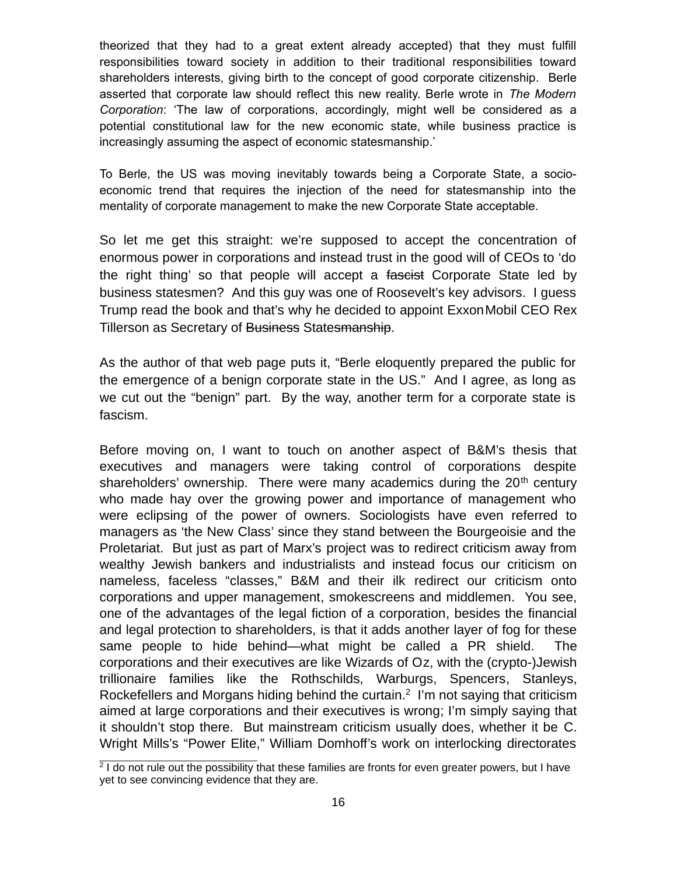theorized that they had to a great extent already accepted) that they must fulfill responsibilities toward society in addition to their traditional responsibilities toward shareholders interests, giving birth to the concept of good corporate citizenship. Berle asserted that corporate law should reflect this new reality. Berle wrote in *The Modern Corporation*: 'The law of corporations, accordingly, might well be considered as a potential constitutional law for the new economic state, while business practice is increasingly assuming the aspect of economic statesmanship.'

To Berle, the US was moving inevitably towards being a Corporate State, a socioeconomic trend that requires the injection of the need for statesmanship into the mentality of corporate management to make the new Corporate State acceptable.

So let me get this straight: we're supposed to accept the concentration of enormous power in corporations and instead trust in the good will of CEOs to 'do the right thing' so that people will accept a faseist Corporate State led by business statesmen? And this guy was one of Roosevelt's key advisors. I guess Trump read the book and that's why he decided to appoint ExxonMobil CEO Rex Tillerson as Secretary of Business Statesmanship.

As the author of that web page puts it, "Berle eloquently prepared the public for the emergence of a benign corporate state in the US." And I agree, as long as we cut out the "benign" part. By the way, another term for a corporate state is fascism.

Before moving on, I want to touch on another aspect of B&M's thesis that executives and managers were taking control of corporations despite shareholders' ownership. There were many academics during the  $20<sup>th</sup>$  century who made hay over the growing power and importance of management who were eclipsing of the power of owners. Sociologists have even referred to managers as 'the New Class' since they stand between the Bourgeoisie and the Proletariat. But just as part of Marx's project was to redirect criticism away from wealthy Jewish bankers and industrialists and instead focus our criticism on nameless, faceless "classes," B&M and their ilk redirect our criticism onto corporations and upper management, smokescreens and middlemen. You see, one of the advantages of the legal fiction of a corporation, besides the financial and legal protection to shareholders, is that it adds another layer of fog for these same people to hide behind—what might be called a PR shield. The corporations and their executives are like Wizards of Oz, with the (crypto-)Jewish trillionaire families like the Rothschilds, Warburgs, Spencers, Stanleys, Rockefellers and Morgans hiding behind the curtain.<sup>[2](#page-15-0)</sup> I'm not saying that criticism aimed at large corporations and their executives is wrong; I'm simply saying that it shouldn't stop there. But mainstream criticism usually does, whether it be C. Wright Mills's "Power Elite," William Domhoff's work on interlocking directorates

<span id="page-15-0"></span><sup>&</sup>lt;sup>2</sup> I do not rule out the possibility that these families are fronts for even greater powers, but I have yet to see convincing evidence that they are.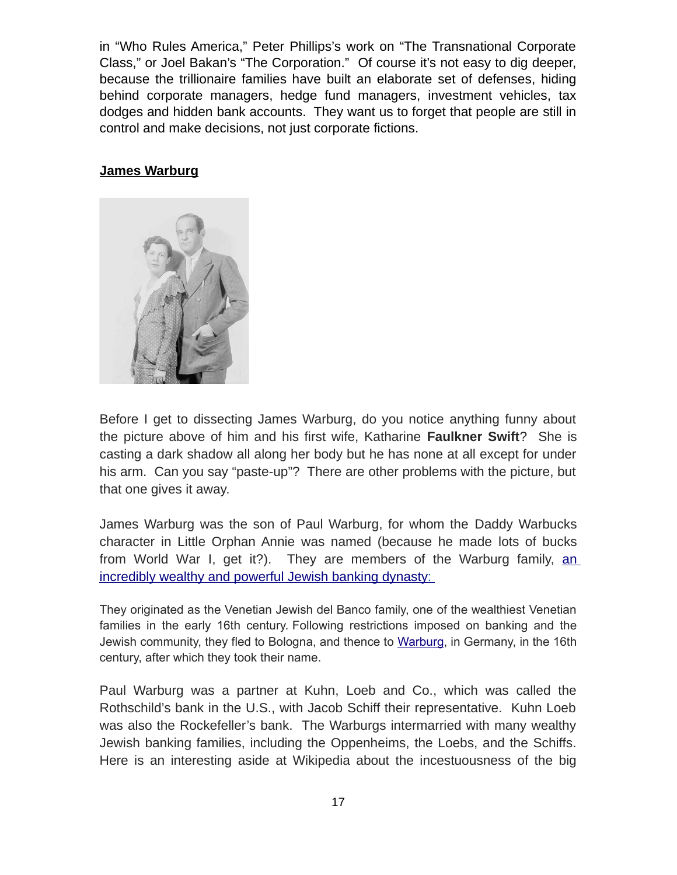in "Who Rules America," Peter Phillips's work on "The Transnational Corporate Class," or Joel Bakan's "The Corporation." Of course it's not easy to dig deeper, because the trillionaire families have built an elaborate set of defenses, hiding behind corporate managers, hedge fund managers, investment vehicles, tax dodges and hidden bank accounts. They want us to forget that people are still in control and make decisions, not just corporate fictions.

#### **James Warburg**



Before I get to dissecting James Warburg, do you notice anything funny about the picture above of him and his first wife, Katharine **Faulkner Swift**? She is casting a dark shadow all along her body but he has none at all except for under his arm. Can you say "paste-up"? There are other problems with the picture, but that one gives it away.

James Warburg was the son of Paul Warburg, for whom the Daddy Warbucks character in Little Orphan Annie was named (because he made lots of bucks from World War I, get it?). They are members of the Warburg family, [an](https://en.wikipedia.org/wiki/Warburg_family) incredibly wealthy and powerful Jewish banking dynasty:

They originated as the Venetian Jewish del Banco family, one of the wealthiest Venetian families in the early 16th century. Following restrictions imposed on banking and the Jewish community, they fled to Bologna, and thence to [Warburg,](https://en.wikipedia.org/wiki/Warburg) in Germany, in the 16th century, after which they took their name.

Paul Warburg was a partner at Kuhn, Loeb and Co., which was called the Rothschild's bank in the U.S., with Jacob Schiff their representative. Kuhn Loeb was also the Rockefeller's bank. The Warburgs intermarried with many wealthy Jewish banking families, including the Oppenheims, the Loebs, and the Schiffs. Here is an interesting aside at Wikipedia about the incestuousness of the big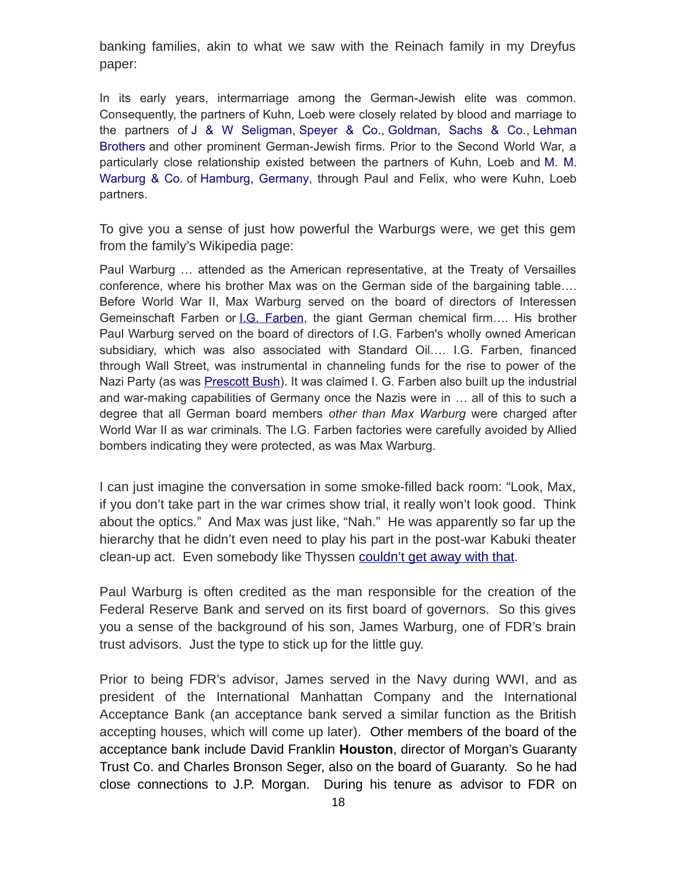banking families, akin to what we saw with the Reinach family in my Dreyfus paper:

In its early years, intermarriage among the German-Jewish elite was common. Consequently, the partners of Kuhn, Loeb were closely related by blood and marriage to the partners of [J & W Seligman,](https://en.wikipedia.org/wiki/J_%26_W_Seligman) [Speyer & Co.,](https://en.wikipedia.org/wiki/Speyer_%26_Co.) [Goldman, Sachs & Co.,](https://en.wikipedia.org/wiki/Goldman_Sachs) [Lehman](https://en.wikipedia.org/wiki/Lehman_Brothers) [Brothers](https://en.wikipedia.org/wiki/Lehman_Brothers) and other prominent German-Jewish firms. Prior to the Second World War, a particularly close relationship existed between the partners of Kuhn, Loeb and [M. M.](https://en.wikipedia.org/wiki/M._M._Warburg_%26_Co.) [Warburg & Co.](https://en.wikipedia.org/wiki/M._M._Warburg_%26_Co.) of [Hamburg, Germany,](https://en.wikipedia.org/wiki/Hamburg,_Germany) through Paul and Felix, who were Kuhn, Loeb partners.

To give you a sense of just how powerful the Warburgs were, we get this gem from the family's Wikipedia page:

Paul Warburg … attended as the American representative, at the Treaty of Versailles conference, where his brother Max was on the German side of the bargaining table…. Before World War II, Max Warburg served on the board of directors of Interessen Gemeinschaft Farben or *I.G. Farben*, the giant German chemical firm.... His brother Paul Warburg served on the board of directors of I.G. Farben's wholly owned American subsidiary, which was also associated with Standard Oil…. I.G. Farben, financed through Wall Street, was instrumental in channeling funds for the rise to power of the Nazi Party (as was [Prescott Bush\)](https://en.wikipedia.org/wiki/Prescott_Bush). It was claimed I. G. Farben also built up the industrial and war-making capabilities of Germany once the Nazis were in … all of this to such a degree that all German board members *other than Max Warburg* were charged after World War II as war criminals. The I.G. Farben factories were carefully avoided by Allied bombers indicating they were protected, as was Max Warburg.

I can just imagine the conversation in some smoke-filled back room: "Look, Max, if you don't take part in the war crimes show trial, it really won't look good. Think about the optics." And Max was just like, "Nah." He was apparently so far up the hierarchy that he didn't even need to play his part in the post-war Kabuki theater clean-up act. Even somebody like Thyssen [couldn't get away with that.](http://mileswmathis.com/jenny.pdf)

Paul Warburg is often credited as the man responsible for the creation of the Federal Reserve Bank and served on its first board of governors. So this gives you a sense of the background of his son, James Warburg, one of FDR's brain trust advisors. Just the type to stick up for the little guy.

Prior to being FDR's advisor, James served in the Navy during WWI, and as president of the International Manhattan Company and the International Acceptance Bank (an acceptance bank served a similar function as the British accepting houses, which will come up later). Other members of the board of the acceptance bank include David Franklin **Houston**, director of Morgan's Guaranty Trust Co. and Charles Bronson Seger, also on the board of Guaranty. So he had close connections to J.P. Morgan. During his tenure as advisor to FDR on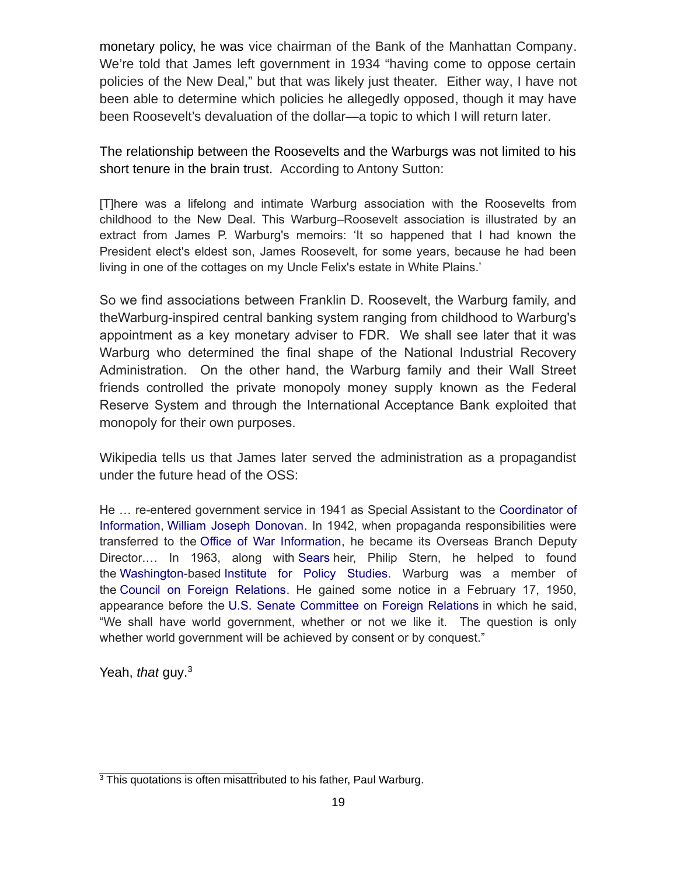monetary policy, he was vice chairman of the Bank of the Manhattan Company. We're told that James left government in 1934 "having come to oppose certain policies of the New Deal," but that was likely just theater. Either way, I have not been able to determine which policies he allegedly opposed, though it may have been Roosevelt's devaluation of the dollar—a topic to which I will return later.

The relationship between the Roosevelts and the Warburgs was not limited to his short tenure in the brain trust. According to Antony Sutton:

[T]here was a lifelong and intimate Warburg association with the Roosevelts from childhood to the New Deal. This Warburg–Roosevelt association is illustrated by an extract from James P. Warburg's memoirs: 'It so happened that I had known the President elect's eldest son, James Roosevelt, for some years, because he had been living in one of the cottages on my Uncle Felix's estate in White Plains.'

So we find associations between Franklin D. Roosevelt, the Warburg family, and theWarburg-inspired central banking system ranging from childhood to Warburg's appointment as a key monetary adviser to FDR. We shall see later that it was Warburg who determined the final shape of the National Industrial Recovery Administration. On the other hand, the Warburg family and their Wall Street friends controlled the private monopoly money supply known as the Federal Reserve System and through the International Acceptance Bank exploited that monopoly for their own purposes.

Wikipedia tells us that James later served the administration as a propagandist under the future head of the OSS:

He … re-entered government service in 1941 as Special Assistant to the [Coordinator of](https://en.wikipedia.org/wiki/Office_of_the_Coordinator_of_Information) [Information,](https://en.wikipedia.org/wiki/Office_of_the_Coordinator_of_Information) [William Joseph Donovan.](https://en.wikipedia.org/wiki/William_Joseph_Donovan) In 1942, when propaganda responsibilities were transferred to the [Office of War Information,](https://en.wikipedia.org/wiki/United_States_Office_of_War_Information) he became its Overseas Branch Deputy Director.… In 1963, along with [Sears](https://en.wikipedia.org/wiki/Sears) heir, Philip Stern, he helped to found the [Washington-](https://en.wikipedia.org/wiki/Washington,_D.C.)based [Institute for Policy Studies.](https://en.wikipedia.org/wiki/Institute_for_Policy_Studies) Warburg was a member of the [Council on Foreign Relations.](https://en.wikipedia.org/wiki/Council_on_Foreign_Relations) He gained some notice in a February 17, 1950, appearance before the [U.S. Senate Committee on Foreign Relations](https://en.wikipedia.org/wiki/U.S._Senate_Committee_on_Foreign_Relations) in which he said, "We shall have world government, whether or not we like it. The question is only whether world government will be achieved by consent or by conquest."

Yeah, *that* guy. [3](#page-18-0)

<span id="page-18-0"></span><sup>&</sup>lt;sup>3</sup> This quotations is often misattributed to his father, Paul Warburg.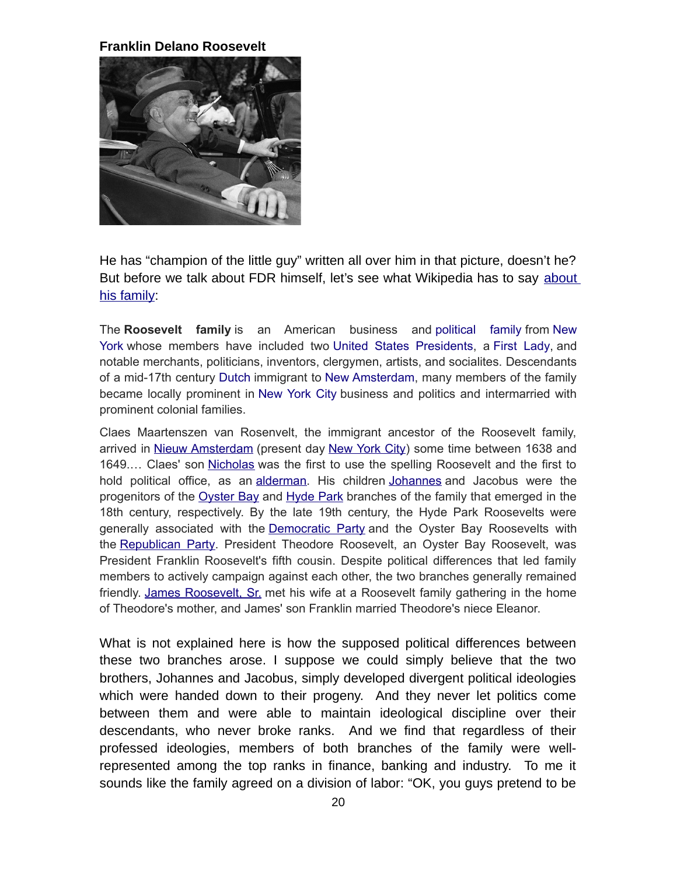**Franklin Delano Roosevelt**



He has "champion of the little guy" written all over him in that picture, doesn't he? But before we talk about FDR himself, let's see what Wikipedia has to say [about](https://en.wikipedia.org/wiki/Roosevelt_family) [his family:](https://en.wikipedia.org/wiki/Roosevelt_family)

The **Roosevelt family** is an American business and [political family](https://en.wikipedia.org/wiki/Political_family) from [New](https://en.wikipedia.org/wiki/New_York_(state)) [York](https://en.wikipedia.org/wiki/New_York_(state)) whose members have included two [United States Presidents,](https://en.wikipedia.org/wiki/United_States_President) a [First Lady,](https://en.wikipedia.org/wiki/First_Lady) and notable merchants, politicians, inventors, clergymen, artists, and socialites. Descendants of a mid-17th century [Dutch](https://en.wikipedia.org/wiki/Dutch_people) immigrant to [New Amsterdam,](https://en.wikipedia.org/wiki/New_Amsterdam) many members of the family became locally prominent in [New York City](https://en.wikipedia.org/wiki/New_York_City) business and politics and intermarried with prominent colonial families.

Claes Maartenszen van Rosenvelt, the immigrant ancestor of the Roosevelt family, arrived in [Nieuw Amsterdam](https://en.wikipedia.org/wiki/New_Amsterdam) (present day [New York City\)](https://en.wikipedia.org/wiki/New_York_City) some time between 1638 and 1649.... Claes' son [Nicholas](https://en.wikipedia.org/wiki/Nicholas_Roosevelt_(1658%E2%80%931742)) was the first to use the spelling Roosevelt and the first to hold political office, as an [alderman.](https://en.wikipedia.org/wiki/Alderman) His children [Johannes](https://en.wikipedia.org/wiki/Johannes_Roosevelt) and Jacobus were the progenitors of the [Oyster Bay](https://en.wikipedia.org/wiki/Oyster_Bay_(town),_New_York) and [Hyde Park](https://en.wikipedia.org/wiki/Hyde_Park,_New_York) branches of the family that emerged in the 18th century, respectively. By the late 19th century, the Hyde Park Roosevelts were generally associated with the **[Democratic Party](https://en.wikipedia.org/wiki/Democratic_Party_(United_States))** and the Oyster Bay Roosevelts with the [Republican Party.](https://en.wikipedia.org/wiki/Republican_Party_(United_States)) President Theodore Roosevelt, an Oyster Bay Roosevelt, was President Franklin Roosevelt's fifth cousin. Despite political differences that led family members to actively campaign against each other, the two branches generally remained friendly. [James Roosevelt, Sr.](https://en.wikipedia.org/wiki/James_Roosevelt,_Sr.) met his wife at a Roosevelt family gathering in the home of Theodore's mother, and James' son Franklin married Theodore's niece Eleanor.

What is not explained here is how the supposed political differences between these two branches arose. I suppose we could simply believe that the two brothers, Johannes and Jacobus, simply developed divergent political ideologies which were handed down to their progeny. And they never let politics come between them and were able to maintain ideological discipline over their descendants, who never broke ranks. And we find that regardless of their professed ideologies, members of both branches of the family were wellrepresented among the top ranks in finance, banking and industry. To me it sounds like the family agreed on a division of labor: "OK, you guys pretend to be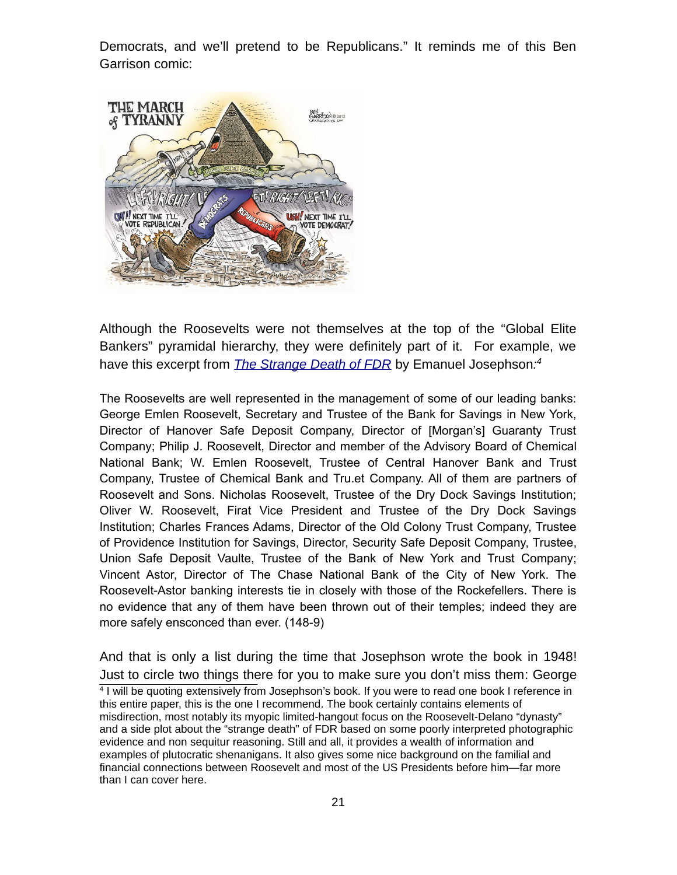Democrats, and we'll pretend to be Republicans." It reminds me of this Ben Garrison comic:



Although the Roosevelts were not themselves at the top of the "Global Elite Bankers" pyramidal hierarchy, they were definitely part of it. For example, we have this excerpt from *[The Strange Death of FDR](https://archive.org/details/StrangeDeathOfFDR)* by Emanuel Josephson*: [4](#page-20-0)*

The Roosevelts are well represented in the management of some of our leading banks: George Emlen Roosevelt, Secretary and Trustee of the Bank for Savings in New York, Director of Hanover Safe Deposit Company, Director of [Morgan's] Guaranty Trust Company; Philip J. Roosevelt, Director and member of the Advisory Board of Chemical National Bank; W. Emlen Roosevelt, Trustee of Central Hanover Bank and Trust Company, Trustee of Chemical Bank and Tru.et Company. All of them are partners of Roosevelt and Sons. Nicholas Roosevelt, Trustee of the Dry Dock Savings Institution; Oliver W. Roosevelt, Firat Vice President and Trustee of the Dry Dock Savings Institution; Charles Frances Adams, Director of the Old Colony Trust Company, Trustee of Providence Institution for Savings, Director, Security Safe Deposit Company, Trustee, Union Safe Deposit Vaulte, Trustee of the Bank of New York and Trust Company; Vincent Astor, Director of The Chase National Bank of the City of New York. The Roosevelt-Astor banking interests tie in closely with those of the Rockefellers. There is no evidence that any of them have been thrown out of their temples; indeed they are more safely ensconced than ever. (148-9)

<span id="page-20-0"></span>And that is only a list during the time that Josephson wrote the book in 1948! Just to circle two things there for you to make sure you don't miss them: George 4 I will be quoting extensively from Josephson's book. If you were to read one book I reference in this entire paper, this is the one I recommend. The book certainly contains elements of misdirection, most notably its myopic limited-hangout focus on the Roosevelt-Delano "dynasty" and a side plot about the "strange death" of FDR based on some poorly interpreted photographic evidence and non sequitur reasoning. Still and all, it provides a wealth of information and examples of plutocratic shenanigans. It also gives some nice background on the familial and financial connections between Roosevelt and most of the US Presidents before him—far more than I can cover here.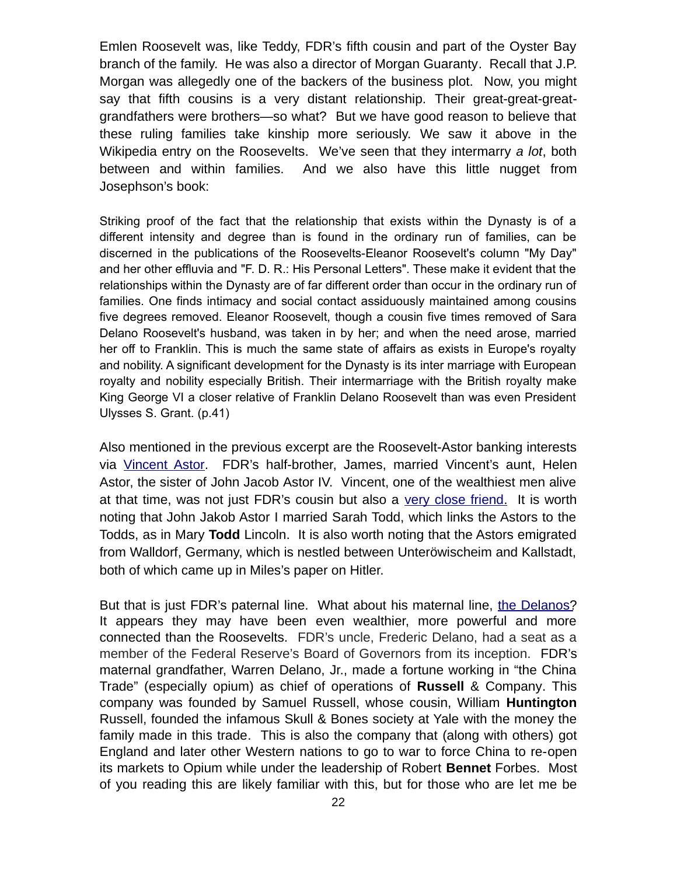Emlen Roosevelt was, like Teddy, FDR's fifth cousin and part of the Oyster Bay branch of the family. He was also a director of Morgan Guaranty. Recall that J.P. Morgan was allegedly one of the backers of the business plot. Now, you might say that fifth cousins is a very distant relationship. Their great-great-greatgrandfathers were brothers—so what? But we have good reason to believe that these ruling families take kinship more seriously. We saw it above in the Wikipedia entry on the Roosevelts. We've seen that they intermarry *a lot*, both between and within families. And we also have this little nugget from Josephson's book:

Striking proof of the fact that the relationship that exists within the Dynasty is of a different intensity and degree than is found in the ordinary run of families, can be discerned in the publications of the Roosevelts-Eleanor Roosevelt's column "My Day" and her other effluvia and "F. D. R.: His Personal Letters". These make it evident that the relationships within the Dynasty are of far different order than occur in the ordinary run of families. One finds intimacy and social contact assiduously maintained among cousins five degrees removed. Eleanor Roosevelt, though a cousin five times removed of Sara Delano Roosevelt's husband, was taken in by her; and when the need arose, married her off to Franklin. This is much the same state of affairs as exists in Europe's royalty and nobility. A significant development for the Dynasty is its inter marriage with European royalty and nobility especially British. Their intermarriage with the British royalty make King George VI a closer relative of Franklin Delano Roosevelt than was even President Ulysses S. Grant. (p.41)

Also mentioned in the previous excerpt are the Roosevelt-Astor banking interests via [Vincent Astor.](https://en.wikipedia.org/wiki/Vincent_Astor) FDR's half-brother, James, married Vincent's aunt, Helen Astor, the sister of John Jacob Astor IV. Vincent, one of the wealthiest men alive at that time, was not just FDR's cousin but also a very close friend. It is worth noting that John Jakob Astor I married Sarah Todd, which links the Astors to the Todds, as in Mary **Todd** Lincoln. It is also worth noting that the Astors emigrated from Walldorf, Germany, which is nestled between Unteröwischeim and Kallstadt, both of which came up in Miles's paper on Hitler.

But that is just FDR's paternal line. What about his maternal line, the Delanos? It appears they may have been even wealthier, more powerful and more connected than the Roosevelts. FDR's uncle, Frederic Delano, had a seat as a member of the Federal Reserve's Board of Governors from its inception. FDR's maternal grandfather, Warren Delano, Jr., made a fortune working in "the China Trade" (especially opium) as chief of operations of **Russell** & Company. This company was founded by Samuel Russell, whose cousin, William **Huntington** Russell, founded the infamous Skull & Bones society at Yale with the money the family made in this trade. This is also the company that (along with others) got England and later other Western nations to go to war to force China to re-open its markets to Opium while under the leadership of Robert **Bennet** Forbes. Most of you reading this are likely familiar with this, but for those who are let me be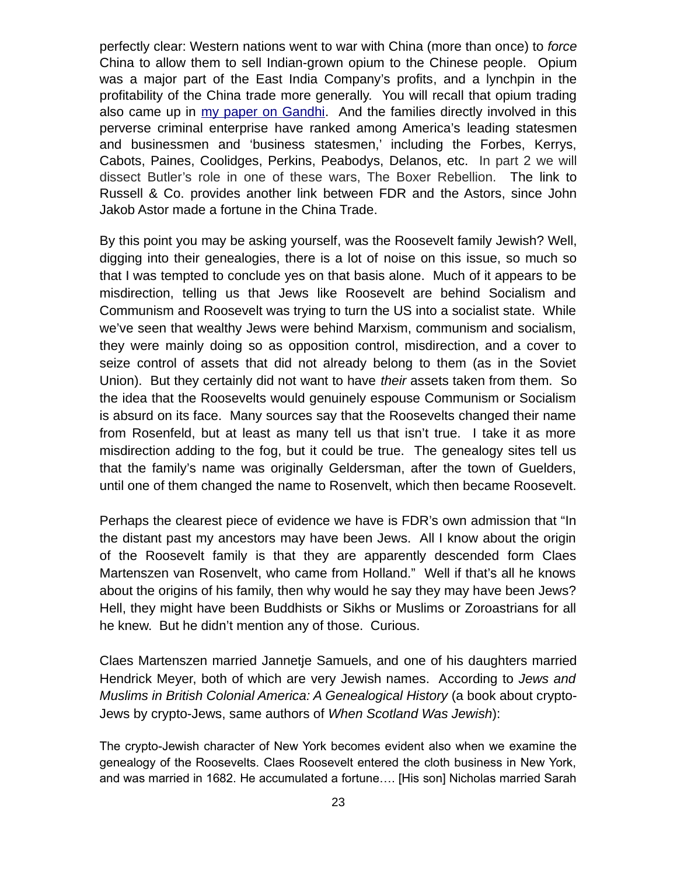perfectly clear: Western nations went to war with China (more than once) to *force* China to allow them to sell Indian-grown opium to the Chinese people. Opium was a major part of the East India Company's profits, and a lynchpin in the profitability of the China trade more generally. You will recall that opium trading also came up in [my paper on Gandhi.](file:///AppData/Roaming/Microsoft/Word/mileswmathis.com/fakir.pdf) And the families directly involved in this perverse criminal enterprise have ranked among America's leading statesmen and businessmen and 'business statesmen,' including the Forbes, Kerrys, Cabots, Paines, Coolidges, Perkins, Peabodys, Delanos, etc. In part 2 we will dissect Butler's role in one of these wars, The Boxer Rebellion. The link to Russell & Co. provides another link between FDR and the Astors, since John Jakob Astor made a fortune in the China Trade.

By this point you may be asking yourself, was the Roosevelt family Jewish? Well, digging into their genealogies, there is a lot of noise on this issue, so much so that I was tempted to conclude yes on that basis alone. Much of it appears to be misdirection, telling us that Jews like Roosevelt are behind Socialism and Communism and Roosevelt was trying to turn the US into a socialist state. While we've seen that wealthy Jews were behind Marxism, communism and socialism, they were mainly doing so as opposition control, misdirection, and a cover to seize control of assets that did not already belong to them (as in the Soviet Union). But they certainly did not want to have *their* assets taken from them. So the idea that the Roosevelts would genuinely espouse Communism or Socialism is absurd on its face. Many sources say that the Roosevelts changed their name from Rosenfeld, but at least as many tell us that isn't true. I take it as more misdirection adding to the fog, but it could be true. The genealogy sites tell us that the family's name was originally Geldersman, after the town of Guelders, until one of them changed the name to Rosenvelt, which then became Roosevelt.

Perhaps the clearest piece of evidence we have is FDR's own admission that "In the distant past my ancestors may have been Jews. All I know about the origin of the Roosevelt family is that they are apparently descended form Claes Martenszen van Rosenvelt, who came from Holland." Well if that's all he knows about the origins of his family, then why would he say they may have been Jews? Hell, they might have been Buddhists or Sikhs or Muslims or Zoroastrians for all he knew. But he didn't mention any of those. Curious.

Claes Martenszen married Jannetje Samuels, and one of his daughters married Hendrick Meyer, both of which are very Jewish names. According to *Jews and Muslims in British Colonial America: A Genealogical History* (a book about crypto-Jews by crypto-Jews, same authors of *When Scotland Was Jewish*):

The crypto-Jewish character of New York becomes evident also when we examine the genealogy of the Roosevelts. Claes Roosevelt entered the cloth business in New York, and was married in 1682. He accumulated a fortune…. [His son] Nicholas married Sarah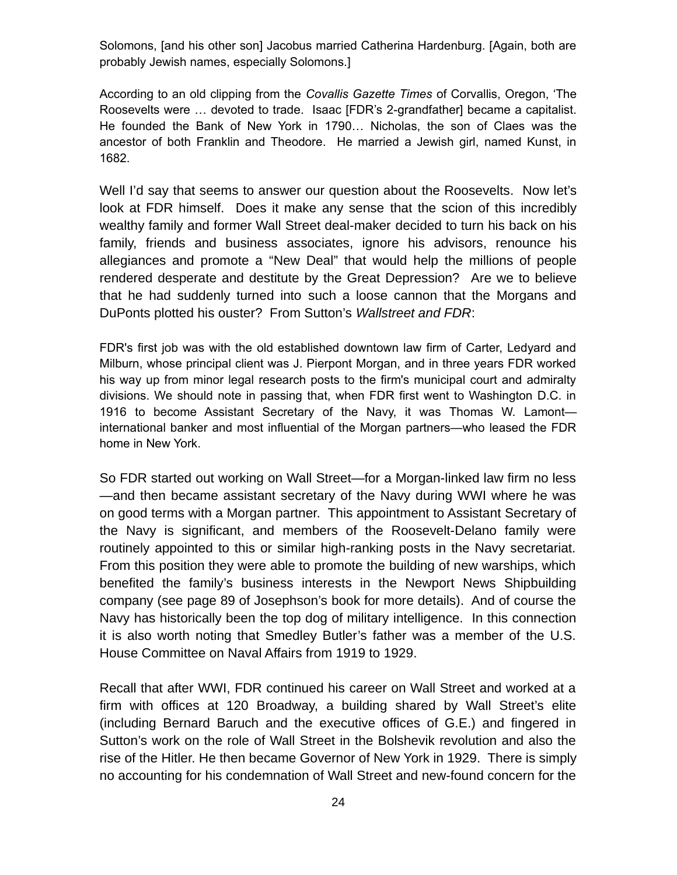Solomons, [and his other son] Jacobus married Catherina Hardenburg. [Again, both are probably Jewish names, especially Solomons.]

According to an old clipping from the *Covallis Gazette Times* of Corvallis, Oregon, 'The Roosevelts were … devoted to trade. Isaac [FDR's 2-grandfather] became a capitalist. He founded the Bank of New York in 1790… Nicholas, the son of Claes was the ancestor of both Franklin and Theodore. He married a Jewish girl, named Kunst, in 1682.

Well I'd say that seems to answer our question about the Roosevelts. Now let's look at FDR himself. Does it make any sense that the scion of this incredibly wealthy family and former Wall Street deal-maker decided to turn his back on his family, friends and business associates, ignore his advisors, renounce his allegiances and promote a "New Deal" that would help the millions of people rendered desperate and destitute by the Great Depression? Are we to believe that he had suddenly turned into such a loose cannon that the Morgans and DuPonts plotted his ouster? From Sutton's *Wallstreet and FDR*:

FDR's first job was with the old established downtown law firm of Carter, Ledyard and Milburn, whose principal client was J. Pierpont Morgan, and in three years FDR worked his way up from minor legal research posts to the firm's municipal court and admiralty divisions. We should note in passing that, when FDR first went to Washington D.C. in 1916 to become Assistant Secretary of the Navy, it was Thomas W. Lamont international banker and most influential of the Morgan partners—who leased the FDR home in New York.

So FDR started out working on Wall Street—for a Morgan-linked law firm no less —and then became assistant secretary of the Navy during WWI where he was on good terms with a Morgan partner. This appointment to Assistant Secretary of the Navy is significant, and members of the Roosevelt-Delano family were routinely appointed to this or similar high-ranking posts in the Navy secretariat. From this position they were able to promote the building of new warships, which benefited the family's business interests in the Newport News Shipbuilding company (see page 89 of Josephson's book for more details). And of course the Navy has historically been the top dog of military intelligence. In this connection it is also worth noting that Smedley Butler's father was a member of the U.S. House Committee on Naval Affairs from 1919 to 1929.

Recall that after WWI, FDR continued his career on Wall Street and worked at a firm with offices at 120 Broadway, a building shared by Wall Street's elite (including Bernard Baruch and the executive offices of G.E.) and fingered in Sutton's work on the role of Wall Street in the Bolshevik revolution and also the rise of the Hitler. He then became Governor of New York in 1929. There is simply no accounting for his condemnation of Wall Street and new-found concern for the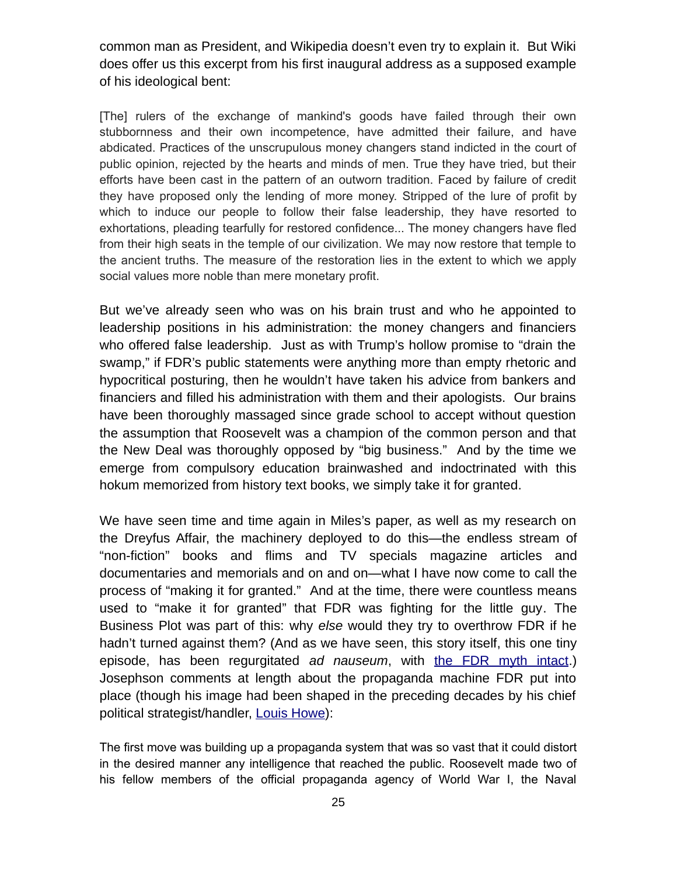common man as President, and Wikipedia doesn't even try to explain it. But Wiki does offer us this excerpt from his first inaugural address as a supposed example of his ideological bent:

[The] rulers of the exchange of mankind's goods have failed through their own stubbornness and their own incompetence, have admitted their failure, and have abdicated. Practices of the unscrupulous money changers stand indicted in the court of public opinion, rejected by the hearts and minds of men. True they have tried, but their efforts have been cast in the pattern of an outworn tradition. Faced by failure of credit they have proposed only the lending of more money. Stripped of the lure of profit by which to induce our people to follow their false leadership, they have resorted to exhortations, pleading tearfully for restored confidence... The money changers have fled from their high seats in the temple of our civilization. We may now restore that temple to the ancient truths. The measure of the restoration lies in the extent to which we apply social values more noble than mere monetary profit.

But we've already seen who was on his brain trust and who he appointed to leadership positions in his administration: the money changers and financiers who offered false leadership. Just as with Trump's hollow promise to "drain the swamp," if FDR's public statements were anything more than empty rhetoric and hypocritical posturing, then he wouldn't have taken his advice from bankers and financiers and filled his administration with them and their apologists. Our brains have been thoroughly massaged since grade school to accept without question the assumption that Roosevelt was a champion of the common person and that the New Deal was thoroughly opposed by "big business." And by the time we emerge from compulsory education brainwashed and indoctrinated with this hokum memorized from history text books, we simply take it for granted.

We have seen time and time again in Miles's paper, as well as my research on the Dreyfus Affair, the machinery deployed to do this—the endless stream of "non-fiction" books and flims and TV specials magazine articles and documentaries and memorials and on and on—what I have now come to call the process of "making it for granted." And at the time, there were countless means used to "make it for granted" that FDR was fighting for the little guy. The Business Plot was part of this: why *else* would they try to overthrow FDR if he hadn't turned against them? (And as we have seen, this story itself, this one tiny episode, has been regurgitated *ad nauseum*, with [the FDR myth intact.](https://www.youtube.com/watch?v=Cc6kw6N1_kw)) Josephson comments at length about the propaganda machine FDR put into place (though his image had been shaped in the preceding decades by his chief political strategist/handler, [Louis Howe\)](https://en.wikipedia.org/wiki/Louis_Howe):

The first move was building up a propaganda system that was so vast that it could distort in the desired manner any intelligence that reached the public. Roosevelt made two of his fellow members of the official propaganda agency of World War I, the Naval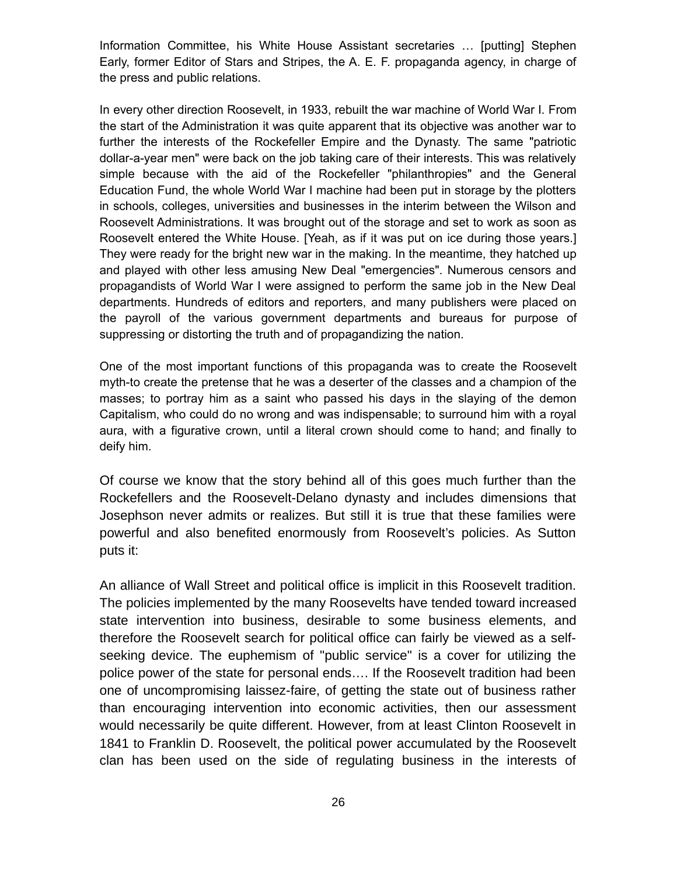Information Committee, his White House Assistant secretaries … [putting] Stephen Early, former Editor of Stars and Stripes, the A. E. F. propaganda agency, in charge of the press and public relations.

In every other direction Roosevelt, in 1933, rebuilt the war machine of World War I. From the start of the Administration it was quite apparent that its objective was another war to further the interests of the Rockefeller Empire and the Dynasty. The same "patriotic dollar-a-year men" were back on the job taking care of their interests. This was relatively simple because with the aid of the Rockefeller "philanthropies" and the General Education Fund, the whole World War I machine had been put in storage by the plotters in schools, colleges, universities and businesses in the interim between the Wilson and Roosevelt Administrations. It was brought out of the storage and set to work as soon as Roosevelt entered the White House. [Yeah, as if it was put on ice during those years.] They were ready for the bright new war in the making. In the meantime, they hatched up and played with other less amusing New Deal "emergencies". Numerous censors and propagandists of World War I were assigned to perform the same job in the New Deal departments. Hundreds of editors and reporters, and many publishers were placed on the payroll of the various government departments and bureaus for purpose of suppressing or distorting the truth and of propagandizing the nation.

One of the most important functions of this propaganda was to create the Roosevelt myth-to create the pretense that he was a deserter of the classes and a champion of the masses; to portray him as a saint who passed his days in the slaying of the demon Capitalism, who could do no wrong and was indispensable; to surround him with a royal aura, with a figurative crown, until a literal crown should come to hand; and finally to deify him.

Of course we know that the story behind all of this goes much further than the Rockefellers and the Roosevelt-Delano dynasty and includes dimensions that Josephson never admits or realizes. But still it is true that these families were powerful and also benefited enormously from Roosevelt's policies. As Sutton puts it:

An alliance of Wall Street and political office is implicit in this Roosevelt tradition. The policies implemented by the many Roosevelts have tended toward increased state intervention into business, desirable to some business elements, and therefore the Roosevelt search for political office can fairly be viewed as a selfseeking device. The euphemism of "public service" is a cover for utilizing the police power of the state for personal ends…. If the Roosevelt tradition had been one of uncompromising laissez-faire, of getting the state out of business rather than encouraging intervention into economic activities, then our assessment would necessarily be quite different. However, from at least Clinton Roosevelt in 1841 to Franklin D. Roosevelt, the political power accumulated by the Roosevelt clan has been used on the side of regulating business in the interests of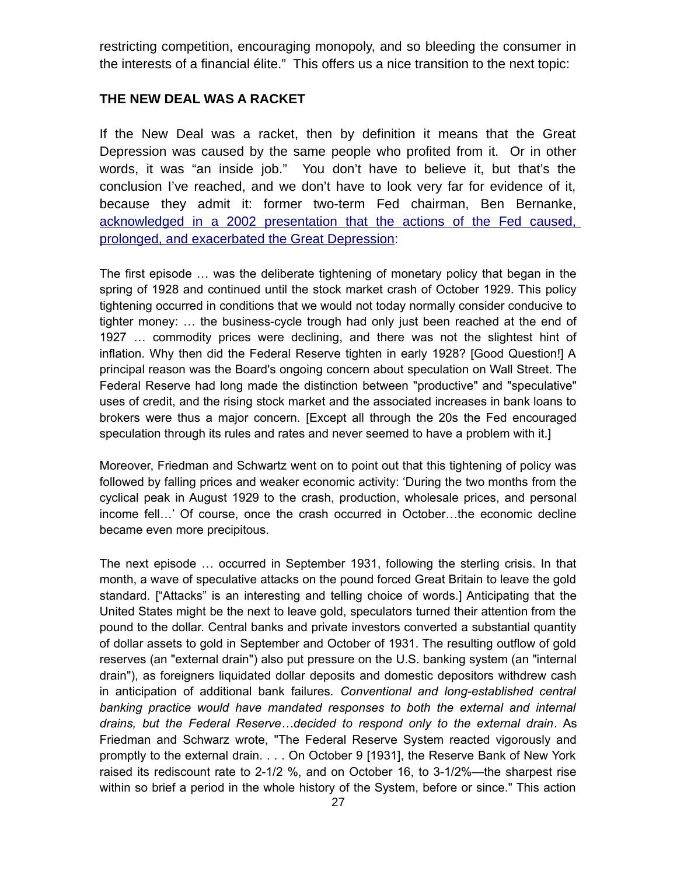restricting competition, encouraging monopoly, and so bleeding the consumer in the interests of a financial élite." This offers us a nice transition to the next topic:

#### **THE NEW DEAL WAS A RACKET**

If the New Deal was a racket, then by definition it means that the Great Depression was caused by the same people who profited from it. Or in other words, it was "an inside job." You don't have to believe it, but that's the conclusion I've reached, and we don't have to look very far for evidence of it, because they admit it: former two-term Fed chairman, Ben Bernanke, [acknowledged in a 2002 presentation that the actions of the Fed caused,](https://www.federalreserve.gov/BOARDDOCS/SPEECHES/2002/20021108/) [prolonged, and exacerbated the Great Depression:](https://www.federalreserve.gov/BOARDDOCS/SPEECHES/2002/20021108/)

The first episode … was the deliberate tightening of monetary policy that began in the spring of 1928 and continued until the stock market crash of October 1929. This policy tightening occurred in conditions that we would not today normally consider conducive to tighter money: … the business-cycle trough had only just been reached at the end of 1927 … commodity prices were declining, and there was not the slightest hint of inflation. Why then did the Federal Reserve tighten in early 1928? [Good Question!] A principal reason was the Board's ongoing concern about speculation on Wall Street. The Federal Reserve had long made the distinction between "productive" and "speculative" uses of credit, and the rising stock market and the associated increases in bank loans to brokers were thus a major concern. [Except all through the 20s the Fed encouraged speculation through its rules and rates and never seemed to have a problem with it.]

Moreover, Friedman and Schwartz went on to point out that this tightening of policy was followed by falling prices and weaker economic activity: 'During the two months from the cyclical peak in August 1929 to the crash, production, wholesale prices, and personal income fell…' Of course, once the crash occurred in October…the economic decline became even more precipitous.

The next episode … occurred in September 1931, following the sterling crisis. In that month, a wave of speculative attacks on the pound forced Great Britain to leave the gold standard. ["Attacks" is an interesting and telling choice of words.] Anticipating that the United States might be the next to leave gold, speculators turned their attention from the pound to the dollar. Central banks and private investors converted a substantial quantity of dollar assets to gold in September and October of 1931. The resulting outflow of gold reserves (an "external drain") also put pressure on the U.S. banking system (an "internal drain"), as foreigners liquidated dollar deposits and domestic depositors withdrew cash in anticipation of additional bank failures. *Conventional and long-established central banking practice would have mandated responses to both the external and internal drains, but the Federal Reserve…decided to respond only to the external drain*. As Friedman and Schwarz wrote, "The Federal Reserve System reacted vigorously and promptly to the external drain. . . . On October 9 [1931], the Reserve Bank of New York raised its rediscount rate to 2-1/2 %, and on October 16, to 3-1/2%—the sharpest rise within so brief a period in the whole history of the System, before or since." This action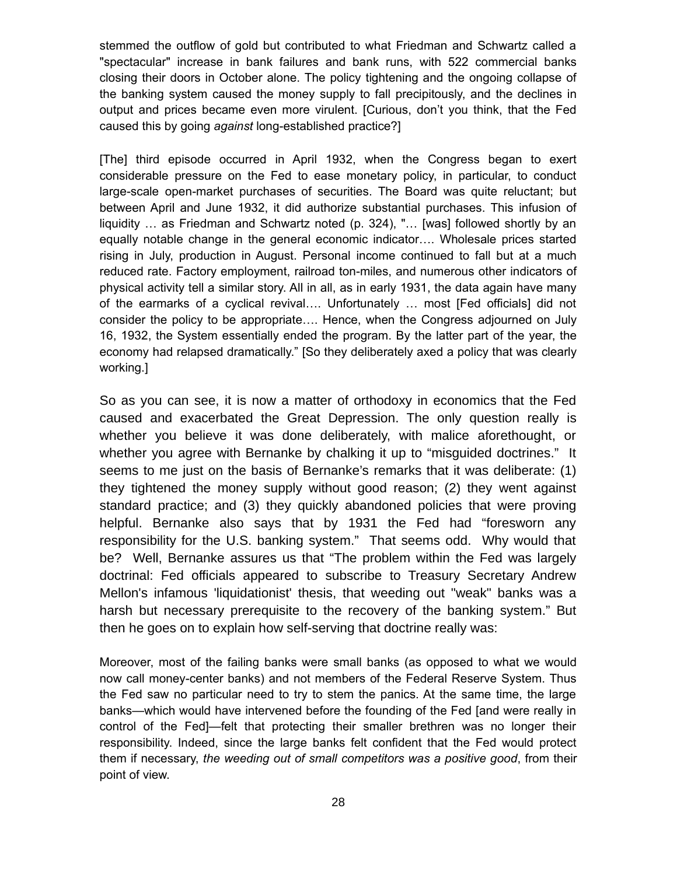stemmed the outflow of gold but contributed to what Friedman and Schwartz called a "spectacular" increase in bank failures and bank runs, with 522 commercial banks closing their doors in October alone. The policy tightening and the ongoing collapse of the banking system caused the money supply to fall precipitously, and the declines in output and prices became even more virulent. [Curious, don't you think, that the Fed caused this by going *against* long-established practice?]

[The] third episode occurred in April 1932, when the Congress began to exert considerable pressure on the Fed to ease monetary policy, in particular, to conduct large-scale open-market purchases of securities. The Board was quite reluctant; but between April and June 1932, it did authorize substantial purchases. This infusion of liquidity … as Friedman and Schwartz noted (p. 324), "… [was] followed shortly by an equally notable change in the general economic indicator…. Wholesale prices started rising in July, production in August. Personal income continued to fall but at a much reduced rate. Factory employment, railroad ton-miles, and numerous other indicators of physical activity tell a similar story. All in all, as in early 1931, the data again have many of the earmarks of a cyclical revival…. Unfortunately … most [Fed officials] did not consider the policy to be appropriate…. Hence, when the Congress adjourned on July 16, 1932, the System essentially ended the program. By the latter part of the year, the economy had relapsed dramatically." [So they deliberately axed a policy that was clearly working.]

So as you can see, it is now a matter of orthodoxy in economics that the Fed caused and exacerbated the Great Depression. The only question really is whether you believe it was done deliberately, with malice aforethought, or whether you agree with Bernanke by chalking it up to "misguided doctrines." It seems to me just on the basis of Bernanke's remarks that it was deliberate: (1) they tightened the money supply without good reason; (2) they went against standard practice; and (3) they quickly abandoned policies that were proving helpful. Bernanke also says that by 1931 the Fed had "foresworn any responsibility for the U.S. banking system." That seems odd. Why would that be? Well, Bernanke assures us that "The problem within the Fed was largely doctrinal: Fed officials appeared to subscribe to Treasury Secretary Andrew Mellon's infamous 'liquidationist' thesis, that weeding out "weak" banks was a harsh but necessary prerequisite to the recovery of the banking system." But then he goes on to explain how self-serving that doctrine really was:

Moreover, most of the failing banks were small banks (as opposed to what we would now call money-center banks) and not members of the Federal Reserve System. Thus the Fed saw no particular need to try to stem the panics. At the same time, the large banks—which would have intervened before the founding of the Fed [and were really in control of the Fed]—felt that protecting their smaller brethren was no longer their responsibility. Indeed, since the large banks felt confident that the Fed would protect them if necessary, *the weeding out of small competitors was a positive good*, from their point of view.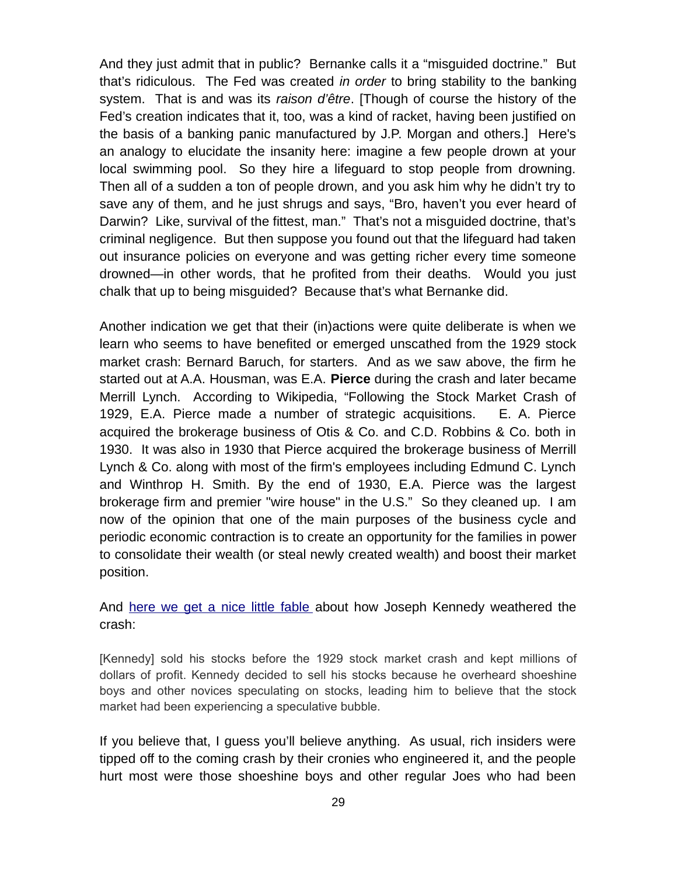And they just admit that in public? Bernanke calls it a "misguided doctrine." But that's ridiculous. The Fed was created *in order* to bring stability to the banking system. That is and was its *raison d'être*. [Though of course the history of the Fed's creation indicates that it, too, was a kind of racket, having been justified on the basis of a banking panic manufactured by J.P. Morgan and others.] Here's an analogy to elucidate the insanity here: imagine a few people drown at your local swimming pool. So they hire a lifeguard to stop people from drowning. Then all of a sudden a ton of people drown, and you ask him why he didn't try to save any of them, and he just shrugs and says, "Bro, haven't you ever heard of Darwin? Like, survival of the fittest, man." That's not a misguided doctrine, that's criminal negligence. But then suppose you found out that the lifeguard had taken out insurance policies on everyone and was getting richer every time someone drowned—in other words, that he profited from their deaths. Would you just chalk that up to being misguided? Because that's what Bernanke did.

Another indication we get that their (in)actions were quite deliberate is when we learn who seems to have benefited or emerged unscathed from the 1929 stock market crash: Bernard Baruch, for starters. And as we saw above, the firm he started out at A.A. Housman, was E.A. **Pierce** during the crash and later became Merrill Lynch. According to Wikipedia, "Following the Stock Market Crash of 1929, E.A. Pierce made a number of strategic acquisitions. E. A. Pierce acquired the brokerage business of Otis & Co. and C.D. Robbins & Co. both in 1930. It was also in 1930 that Pierce acquired the brokerage business of Merrill Lynch & Co. along with most of the firm's employees including Edmund C. Lynch and Winthrop H. Smith. By the end of 1930, E.A. Pierce was the largest brokerage firm and premier "wire house" in the U.S." So they cleaned up. I am now of the opinion that one of the main purposes of the business cycle and periodic economic contraction is to create an opportunity for the families in power to consolidate their wealth (or steal newly created wealth) and boost their market position.

And [here we get a nice little fable](http://www.thebubblebubble.com/1929-crash/) about how Joseph Kennedy weathered the crash:

[Kennedy] sold his stocks before the 1929 stock market crash and kept millions of dollars of profit. Kennedy decided to sell his stocks because he overheard shoeshine boys and other novices speculating on stocks, leading him to believe that the stock market had been experiencing a speculative bubble.

If you believe that, I guess you'll believe anything. As usual, rich insiders were tipped off to the coming crash by their cronies who engineered it, and the people hurt most were those shoeshine boys and other regular Joes who had been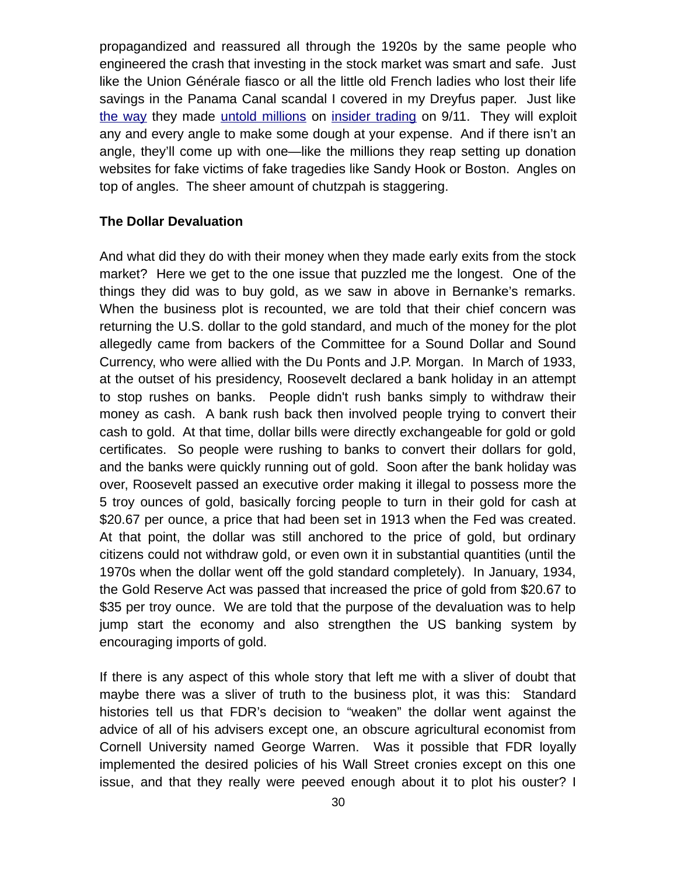propagandized and reassured all through the 1920s by the same people who engineered the crash that investing in the stock market was smart and safe. Just like the Union Générale fiasco or all the little old French ladies who lost their life savings in the Panama Canal scandal I covered in my Dreyfus paper. Just like [the way](https://papers.ssrn.com/sol3/papers.cfm?abstract_id=370741) they made [untold millions](https://papers.ssrn.com/sol3/papers.cfm?abstract_id=1588523) on [insider trading](https://papers.ssrn.com/sol3/papers.cfm?abstract_id=1522157) on 9/11. They will exploit any and every angle to make some dough at your expense. And if there isn't an angle, they'll come up with one—like the millions they reap setting up donation websites for fake victims of fake tragedies like Sandy Hook or Boston. Angles on top of angles. The sheer amount of chutzpah is staggering.

#### **The Dollar Devaluation**

And what did they do with their money when they made early exits from the stock market? Here we get to the one issue that puzzled me the longest. One of the things they did was to buy gold, as we saw in above in Bernanke's remarks. When the business plot is recounted, we are told that their chief concern was returning the U.S. dollar to the gold standard, and much of the money for the plot allegedly came from backers of the Committee for a Sound Dollar and Sound Currency, who were allied with the Du Ponts and J.P. Morgan. In March of 1933, at the outset of his presidency, Roosevelt declared a bank holiday in an attempt to stop rushes on banks. People didn't rush banks simply to withdraw their money as cash. A bank rush back then involved people trying to convert their cash to gold. At that time, dollar bills were directly exchangeable for gold or gold certificates. So people were rushing to banks to convert their dollars for gold, and the banks were quickly running out of gold. Soon after the bank holiday was over, Roosevelt passed an executive order making it illegal to possess more the 5 troy ounces of gold, basically forcing people to turn in their gold for cash at \$20.67 per ounce, a price that had been set in 1913 when the Fed was created. At that point, the dollar was still anchored to the price of gold, but ordinary citizens could not withdraw gold, or even own it in substantial quantities (until the 1970s when the dollar went off the gold standard completely). In January, 1934, the Gold Reserve Act was passed that increased the price of gold from \$20.67 to \$35 per troy ounce. We are told that the purpose of the devaluation was to help jump start the economy and also strengthen the US banking system by encouraging imports of gold.

If there is any aspect of this whole story that left me with a sliver of doubt that maybe there was a sliver of truth to the business plot, it was this: Standard histories tell us that FDR's decision to "weaken" the dollar went against the advice of all of his advisers except one, an obscure agricultural economist from Cornell University named George Warren. Was it possible that FDR loyally implemented the desired policies of his Wall Street cronies except on this one issue, and that they really were peeved enough about it to plot his ouster? I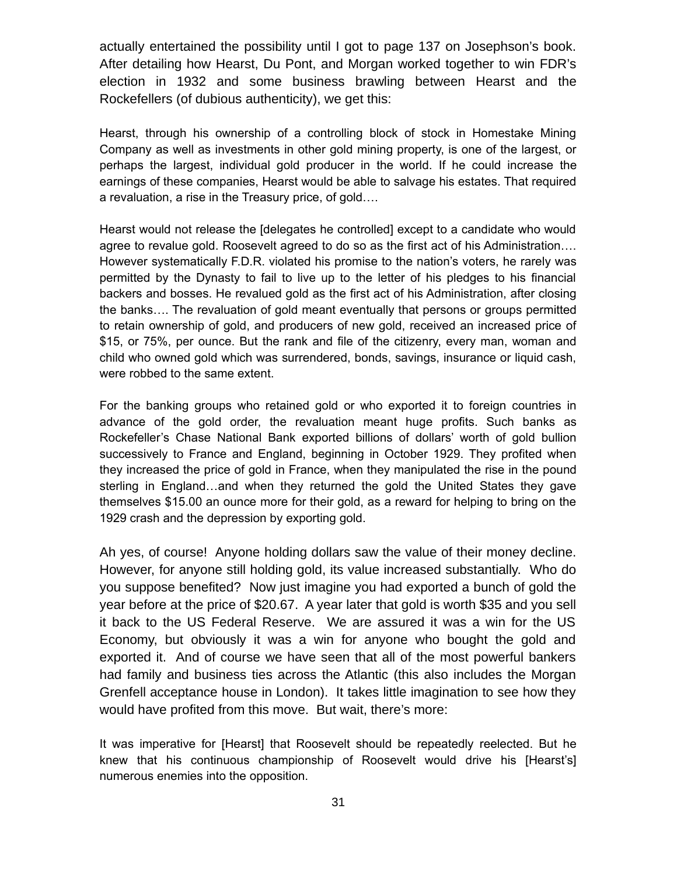actually entertained the possibility until I got to page 137 on Josephson's book. After detailing how Hearst, Du Pont, and Morgan worked together to win FDR's election in 1932 and some business brawling between Hearst and the Rockefellers (of dubious authenticity), we get this:

Hearst, through his ownership of a controlling block of stock in Homestake Mining Company as well as investments in other gold mining property, is one of the largest, or perhaps the largest, individual gold producer in the world. If he could increase the earnings of these companies, Hearst would be able to salvage his estates. That required a revaluation, a rise in the Treasury price, of gold….

Hearst would not release the [delegates he controlled] except to a candidate who would agree to revalue gold. Roosevelt agreed to do so as the first act of his Administration…. However systematically F.D.R. violated his promise to the nation's voters, he rarely was permitted by the Dynasty to fail to live up to the letter of his pledges to his financial backers and bosses. He revalued gold as the first act of his Administration, after closing the banks…. The revaluation of gold meant eventually that persons or groups permitted to retain ownership of gold, and producers of new gold, received an increased price of \$15, or 75%, per ounce. But the rank and file of the citizenry, every man, woman and child who owned gold which was surrendered, bonds, savings, insurance or liquid cash, were robbed to the same extent.

For the banking groups who retained gold or who exported it to foreign countries in advance of the gold order, the revaluation meant huge profits. Such banks as Rockefeller's Chase National Bank exported billions of dollars' worth of gold bullion successively to France and England, beginning in October 1929. They profited when they increased the price of gold in France, when they manipulated the rise in the pound sterling in England…and when they returned the gold the United States they gave themselves \$15.00 an ounce more for their gold, as a reward for helping to bring on the 1929 crash and the depression by exporting gold.

Ah yes, of course! Anyone holding dollars saw the value of their money decline. However, for anyone still holding gold, its value increased substantially. Who do you suppose benefited? Now just imagine you had exported a bunch of gold the year before at the price of \$20.67. A year later that gold is worth \$35 and you sell it back to the US Federal Reserve. We are assured it was a win for the US Economy, but obviously it was a win for anyone who bought the gold and exported it. And of course we have seen that all of the most powerful bankers had family and business ties across the Atlantic (this also includes the Morgan Grenfell acceptance house in London). It takes little imagination to see how they would have profited from this move. But wait, there's more:

It was imperative for [Hearst] that Roosevelt should be repeatedly reelected. But he knew that his continuous championship of Roosevelt would drive his [Hearst's] numerous enemies into the opposition.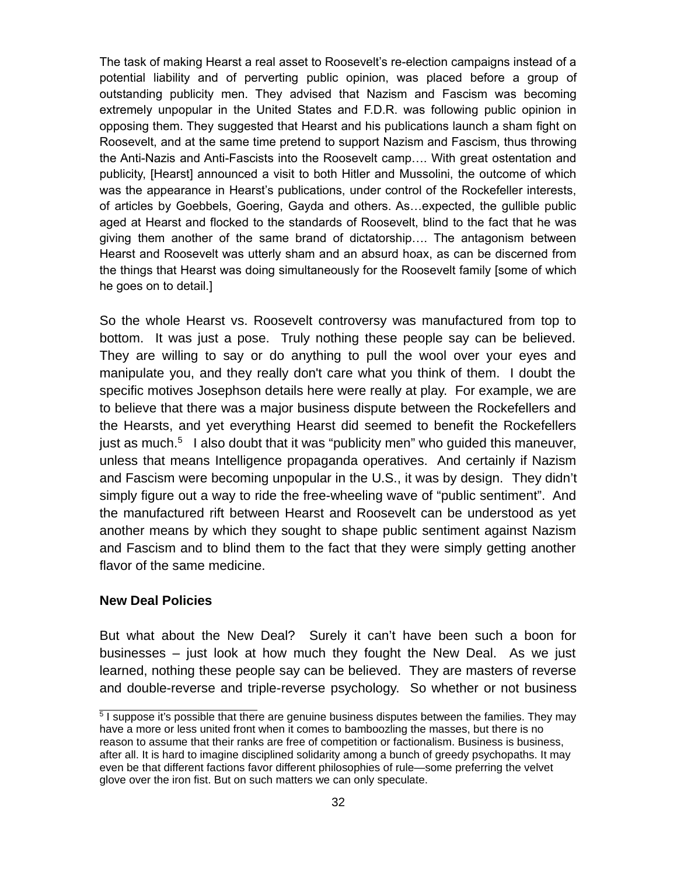The task of making Hearst a real asset to Roosevelt's re-election campaigns instead of a potential liability and of perverting public opinion, was placed before a group of outstanding publicity men. They advised that Nazism and Fascism was becoming extremely unpopular in the United States and F.D.R. was following public opinion in opposing them. They suggested that Hearst and his publications launch a sham fight on Roosevelt, and at the same time pretend to support Nazism and Fascism, thus throwing the Anti-Nazis and Anti-Fascists into the Roosevelt camp…. With great ostentation and publicity, [Hearst] announced a visit to both Hitler and Mussolini, the outcome of which was the appearance in Hearst's publications, under control of the Rockefeller interests, of articles by Goebbels, Goering, Gayda and others. As…expected, the gullible public aged at Hearst and flocked to the standards of Roosevelt, blind to the fact that he was giving them another of the same brand of dictatorship…. The antagonism between Hearst and Roosevelt was utterly sham and an absurd hoax, as can be discerned from the things that Hearst was doing simultaneously for the Roosevelt family [some of which he goes on to detail.]

So the whole Hearst vs. Roosevelt controversy was manufactured from top to bottom. It was just a pose. Truly nothing these people say can be believed. They are willing to say or do anything to pull the wool over your eyes and manipulate you, and they really don't care what you think of them. I doubt the specific motives Josephson details here were really at play. For example, we are to believe that there was a major business dispute between the Rockefellers and the Hearsts, and yet everything Hearst did seemed to benefit the Rockefellers just as much.<sup>[5](#page-31-0)</sup> I also doubt that it was "publicity men" who guided this maneuver, unless that means Intelligence propaganda operatives. And certainly if Nazism and Fascism were becoming unpopular in the U.S., it was by design. They didn't simply figure out a way to ride the free-wheeling wave of "public sentiment". And the manufactured rift between Hearst and Roosevelt can be understood as yet another means by which they sought to shape public sentiment against Nazism and Fascism and to blind them to the fact that they were simply getting another flavor of the same medicine.

#### **New Deal Policies**

But what about the New Deal? Surely it can't have been such a boon for businesses – just look at how much they fought the New Deal. As we just learned, nothing these people say can be believed. They are masters of reverse and double-reverse and triple-reverse psychology. So whether or not business

<span id="page-31-0"></span><sup>&</sup>lt;sup>5</sup> I suppose it's possible that there are genuine business disputes between the families. They may have a more or less united front when it comes to bamboozling the masses, but there is no reason to assume that their ranks are free of competition or factionalism. Business is business, after all. It is hard to imagine disciplined solidarity among a bunch of greedy psychopaths. It may even be that different factions favor different philosophies of rule—some preferring the velvet glove over the iron fist. But on such matters we can only speculate.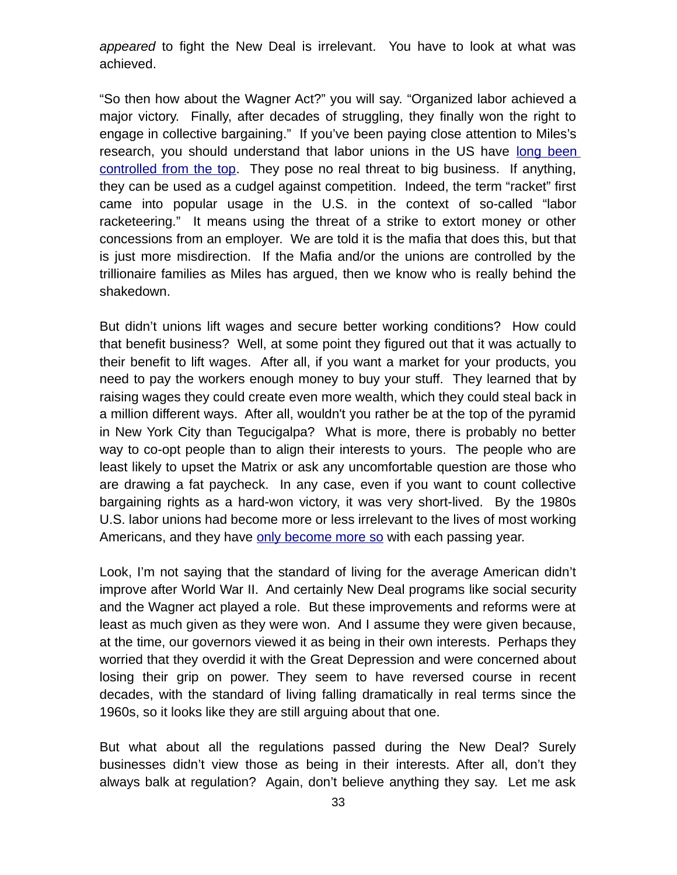*appeared* to fight the New Deal is irrelevant. You have to look at what was achieved.

"So then how about the Wagner Act?" you will say. "Organized labor achieved a major victory. Finally, after decades of struggling, they finally won the right to engage in collective bargaining." If you've been paying close attention to Miles's research, you should understand that labor unions in the US have [long been](http://mileswmathis.com/debs.pdf) [controlled from the top.](http://mileswmathis.com/debs.pdf) They pose no real threat to big business. If anything, they can be used as a cudgel against competition. Indeed, the term "racket" first came into popular usage in the U.S. in the context of so-called "labor racketeering." It means using the threat of a strike to extort money or other concessions from an employer. We are told it is the mafia that does this, but that is just more misdirection. If the Mafia and/or the unions are controlled by the trillionaire families as Miles has argued, then we know who is really behind the shakedown.

But didn't unions lift wages and secure better working conditions? How could that benefit business? Well, at some point they figured out that it was actually to their benefit to lift wages. After all, if you want a market for your products, you need to pay the workers enough money to buy your stuff. They learned that by raising wages they could create even more wealth, which they could steal back in a million different ways. After all, wouldn't you rather be at the top of the pyramid in New York City than Tegucigalpa? What is more, there is probably no better way to co-opt people than to align their interests to yours. The people who are least likely to upset the Matrix or ask any uncomfortable question are those who are drawing a fat paycheck. In any case, even if you want to count collective bargaining rights as a hard-won victory, it was very short-lived. By the 1980s U.S. labor unions had become more or less irrelevant to the lives of most working Americans, and they have [only become more so](http://www.goodreads.com/book/show/17804380-what-unions-no-longer-do) with each passing year.

Look, I'm not saying that the standard of living for the average American didn't improve after World War II. And certainly New Deal programs like social security and the Wagner act played a role. But these improvements and reforms were at least as much given as they were won. And I assume they were given because, at the time, our governors viewed it as being in their own interests. Perhaps they worried that they overdid it with the Great Depression and were concerned about losing their grip on power. They seem to have reversed course in recent decades, with the standard of living falling dramatically in real terms since the 1960s, so it looks like they are still arguing about that one.

But what about all the regulations passed during the New Deal? Surely businesses didn't view those as being in their interests. After all, don't they always balk at regulation? Again, don't believe anything they say. Let me ask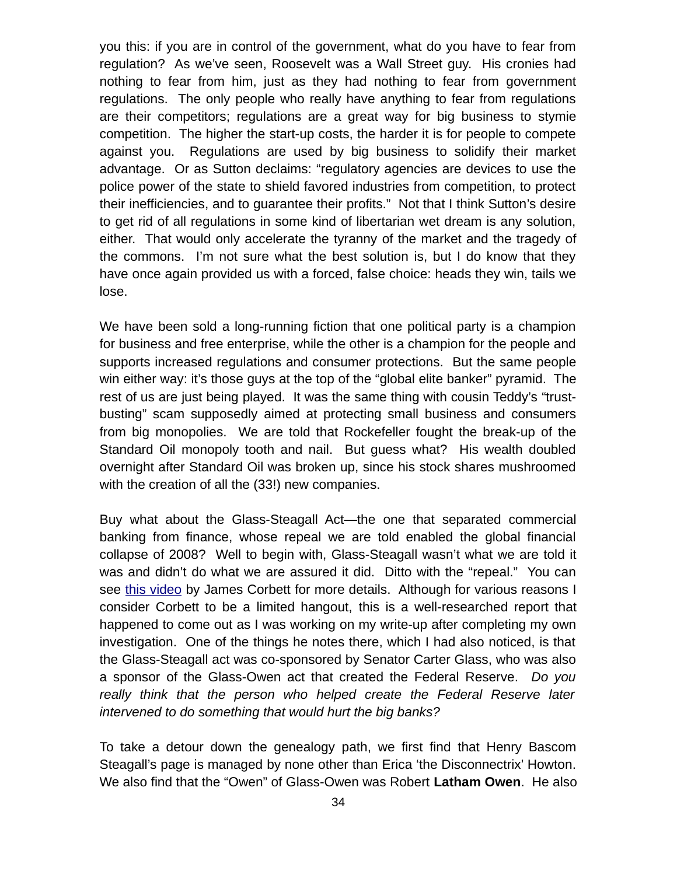you this: if you are in control of the government, what do you have to fear from regulation? As we've seen, Roosevelt was a Wall Street guy. His cronies had nothing to fear from him, just as they had nothing to fear from government regulations. The only people who really have anything to fear from regulations are their competitors; regulations are a great way for big business to stymie competition. The higher the start-up costs, the harder it is for people to compete against you. Regulations are used by big business to solidify their market advantage. Or as Sutton declaims: "regulatory agencies are devices to use the police power of the state to shield favored industries from competition, to protect their inefficiencies, and to guarantee their profits." Not that I think Sutton's desire to get rid of all regulations in some kind of libertarian wet dream is any solution, either. That would only accelerate the tyranny of the market and the tragedy of the commons. I'm not sure what the best solution is, but I do know that they have once again provided us with a forced, false choice: heads they win, tails we lose.

We have been sold a long-running fiction that one political party is a champion for business and free enterprise, while the other is a champion for the people and supports increased regulations and consumer protections. But the same people win either way: it's those guys at the top of the "global elite banker" pyramid. The rest of us are just being played. It was the same thing with cousin Teddy's "trustbusting" scam supposedly aimed at protecting small business and consumers from big monopolies. We are told that Rockefeller fought the break-up of the Standard Oil monopoly tooth and nail. But guess what? His wealth doubled overnight after Standard Oil was broken up, since his stock shares mushroomed with the creation of all the (33!) new companies.

Buy what about the Glass-Steagall Act—the one that separated commercial banking from finance, whose repeal we are told enabled the global financial collapse of 2008? Well to begin with, Glass-Steagall wasn't what we are told it was and didn't do what we are assured it did. Ditto with the "repeal." You can see [this video](https://www.youtube.com/watch?v=dLxRUewl-F0) by James Corbett for more details. Although for various reasons I consider Corbett to be a limited hangout, this is a well-researched report that happened to come out as I was working on my write-up after completing my own investigation. One of the things he notes there, which I had also noticed, is that the Glass-Steagall act was co-sponsored by Senator Carter Glass, who was also a sponsor of the Glass-Owen act that created the Federal Reserve. *Do you really think that the person who helped create the Federal Reserve later intervened to do something that would hurt the big banks?* 

To take a detour down the genealogy path, we first find that Henry Bascom Steagall's page is managed by none other than Erica 'the Disconnectrix' Howton. We also find that the "Owen" of Glass-Owen was Robert **Latham Owen**. He also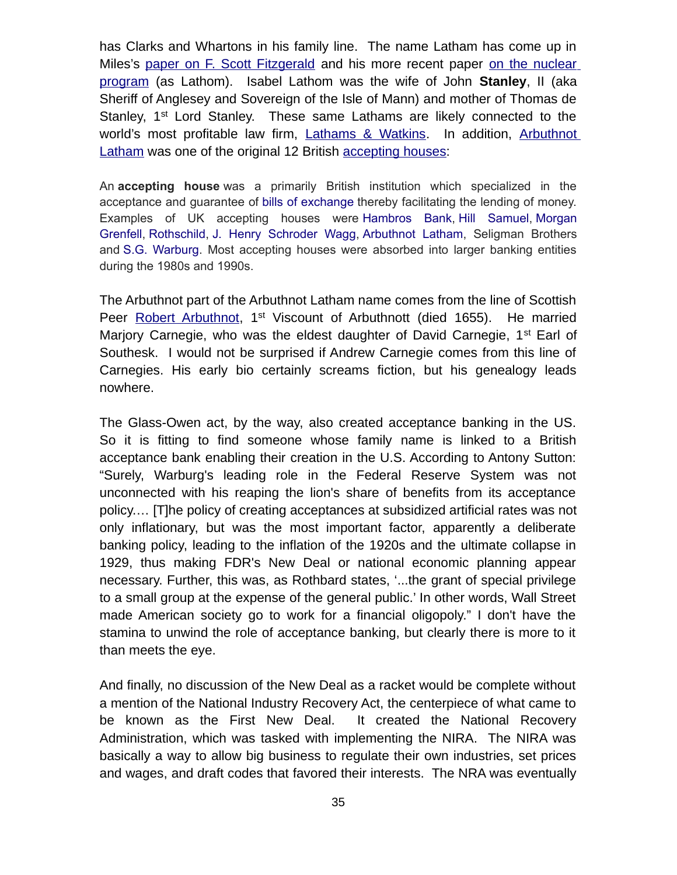has Clarks and Whartons in his family line. The name Latham has come up in Miles's [paper on F. Scott Fitzgerald](http://mileswmathis.com/fitz.pdf) and his more recent paper [on the nuclear](http://mileswmathis.com/caes.pdf) [program](http://mileswmathis.com/caes.pdf) (as Lathom). Isabel Lathom was the wife of John **Stanley**, II (aka Sheriff of Anglesey and Sovereign of the Isle of Mann) and mother of Thomas de Stanley, 1<sup>st</sup> Lord Stanley. These same Lathams are likely connected to the world's most profitable law firm, [Lathams & Watkins.](https://en.wikipedia.org/wiki/Latham_%26_Watkins) In addition, [Arbuthnot](https://en.wikipedia.org/wiki/Arbuthnot_Latham) [Latham](https://en.wikipedia.org/wiki/Arbuthnot_Latham) was one of the original 12 British [accepting houses:](https://en.wikipedia.org/wiki/Accepting_house)

An **accepting house** was a primarily British institution which specialized in the acceptance and guarantee of [bills of exchange](https://en.wikipedia.org/wiki/Bills_of_exchange) thereby facilitating the lending of money. Examples of UK accepting houses were [Hambros Bank,](https://en.wikipedia.org/wiki/Hambros_Bank) [Hill Samuel,](https://en.wikipedia.org/wiki/Hill_Samuel) [Morgan](https://en.wikipedia.org/wiki/Morgan_Grenfell) [Grenfell,](https://en.wikipedia.org/wiki/Morgan_Grenfell) [Rothschild,](https://en.wikipedia.org/wiki/N_M_Rothschild_%26_Sons) [J. Henry Schroder Wagg,](https://en.wikipedia.org/wiki/J._Henry_Schroder_Wagg) [Arbuthnot Latham,](https://en.wikipedia.org/wiki/Arbuthnot_Latham) Seligman Brothers and [S.G. Warburg.](https://en.wikipedia.org/wiki/S.G._Warburg) Most accepting houses were absorbed into larger banking entities during the 1980s and 1990s.

The Arbuthnot part of the Arbuthnot Latham name comes from the line of Scottish Peer [Robert Arbuthnot,](https://en.wikipedia.org/wiki/Robert_Arbuthnot,_1st_Viscount_of_Arbuthnott) 1<sup>st</sup> Viscount of Arbuthnott (died 1655). He married Mariory Carnegie, who was the eldest daughter of David Carnegie, 1<sup>st</sup> Earl of Southesk. I would not be surprised if Andrew Carnegie comes from this line of Carnegies. His early bio certainly screams fiction, but his genealogy leads nowhere.

The Glass-Owen act, by the way, also created acceptance banking in the US. So it is fitting to find someone whose family name is linked to a British acceptance bank enabling their creation in the U.S. According to Antony Sutton: "Surely, Warburg's leading role in the Federal Reserve System was not unconnected with his reaping the lion's share of benefits from its acceptance policy.… [T]he policy of creating acceptances at subsidized artificial rates was not only inflationary, but was the most important factor, apparently a deliberate banking policy, leading to the inflation of the 1920s and the ultimate collapse in 1929, thus making FDR's New Deal or national economic planning appear necessary. Further, this was, as Rothbard states, '...the grant of special privilege to a small group at the expense of the general public.' In other words, Wall Street made American society go to work for a financial oligopoly." I don't have the stamina to unwind the role of acceptance banking, but clearly there is more to it than meets the eye.

And finally, no discussion of the New Deal as a racket would be complete without a mention of the National Industry Recovery Act, the centerpiece of what came to be known as the First New Deal. It created the National Recovery Administration, which was tasked with implementing the NIRA. The NIRA was basically a way to allow big business to regulate their own industries, set prices and wages, and draft codes that favored their interests. The NRA was eventually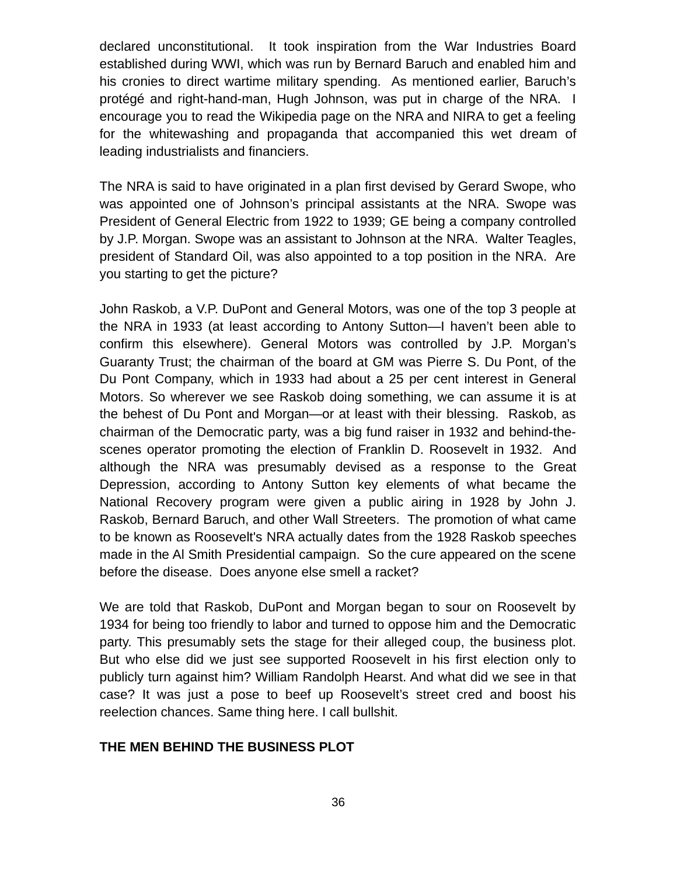declared unconstitutional. It took inspiration from the War Industries Board established during WWI, which was run by Bernard Baruch and enabled him and his cronies to direct wartime military spending. As mentioned earlier, Baruch's protégé and right-hand-man, Hugh Johnson, was put in charge of the NRA. I encourage you to read the Wikipedia page on the NRA and NIRA to get a feeling for the whitewashing and propaganda that accompanied this wet dream of leading industrialists and financiers.

The NRA is said to have originated in a plan first devised by Gerard Swope, who was appointed one of Johnson's principal assistants at the NRA. Swope was President of General Electric from 1922 to 1939; GE being a company controlled by J.P. Morgan. Swope was an assistant to Johnson at the NRA. Walter Teagles, president of Standard Oil, was also appointed to a top position in the NRA. Are you starting to get the picture?

John Raskob, a V.P. DuPont and General Motors, was one of the top 3 people at the NRA in 1933 (at least according to Antony Sutton—I haven't been able to confirm this elsewhere). General Motors was controlled by J.P. Morgan's Guaranty Trust; the chairman of the board at GM was Pierre S. Du Pont, of the Du Pont Company, which in 1933 had about a 25 per cent interest in General Motors. So wherever we see Raskob doing something, we can assume it is at the behest of Du Pont and Morgan—or at least with their blessing. Raskob, as chairman of the Democratic party, was a big fund raiser in 1932 and behind-thescenes operator promoting the election of Franklin D. Roosevelt in 1932. And although the NRA was presumably devised as a response to the Great Depression, according to Antony Sutton key elements of what became the National Recovery program were given a public airing in 1928 by John J. Raskob, Bernard Baruch, and other Wall Streeters. The promotion of what came to be known as Roosevelt's NRA actually dates from the 1928 Raskob speeches made in the Al Smith Presidential campaign. So the cure appeared on the scene before the disease. Does anyone else smell a racket?

We are told that Raskob, DuPont and Morgan began to sour on Roosevelt by 1934 for being too friendly to labor and turned to oppose him and the Democratic party. This presumably sets the stage for their alleged coup, the business plot. But who else did we just see supported Roosevelt in his first election only to publicly turn against him? William Randolph Hearst. And what did we see in that case? It was just a pose to beef up Roosevelt's street cred and boost his reelection chances. Same thing here. I call bullshit.

#### **THE MEN BEHIND THE BUSINESS PLOT**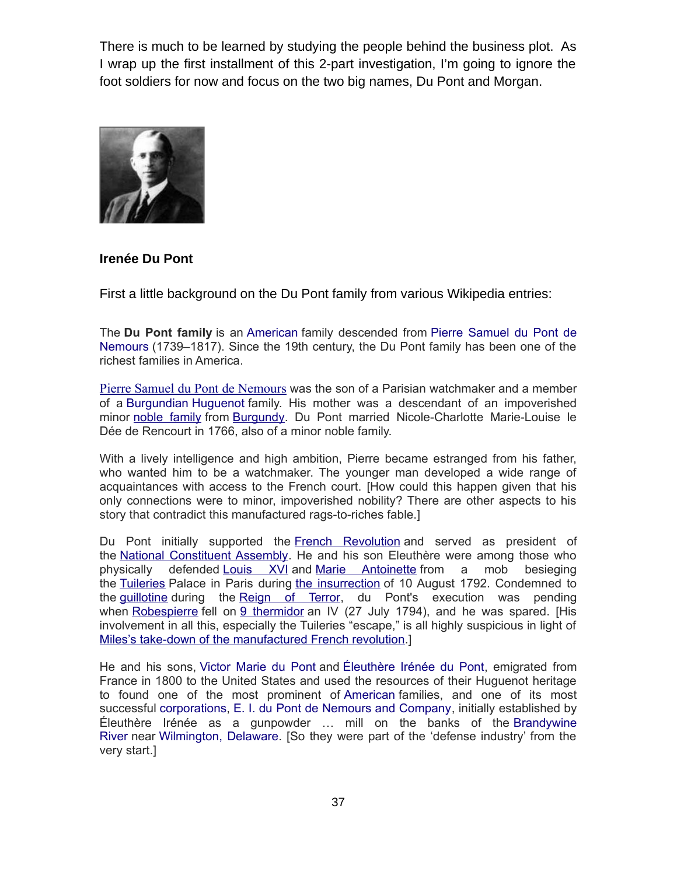There is much to be learned by studying the people behind the business plot. As I wrap up the first installment of this 2-part investigation, I'm going to ignore the foot soldiers for now and focus on the two big names, Du Pont and Morgan.



#### **Irenée Du Pont**

First a little background on the Du Pont family from various Wikipedia entries:

The **Du Pont family** is an [American](https://en.wikipedia.org/wiki/United_States) family descended from [Pierre Samuel du Pont de](https://en.wikipedia.org/wiki/Pierre_Samuel_du_Pont_de_Nemours) [Nemours](https://en.wikipedia.org/wiki/Pierre_Samuel_du_Pont_de_Nemours) (1739–1817). Since the 19th century, the Du Pont family has been one of the richest families in America.

[Pierre Samuel du Pont de Nemours](https://en.wikipedia.org/wiki/Pierre_Samuel_du_Pont_de_Nemours) was the son of a Parisian watchmaker and a member of a [Burgundian](https://en.wikipedia.org/wiki/Duchy_of_Burgundy) [Huguenot](https://en.wikipedia.org/wiki/Huguenot) family. His mother was a descendant of an impoverished minor [noble family](https://en.wikipedia.org/wiki/French_nobility) from [Burgundy.](https://en.wikipedia.org/wiki/Burgundy) Du Pont married Nicole-Charlotte Marie-Louise le Dée de Rencourt in 1766, also of a minor noble family.

With a lively intelligence and high ambition, Pierre became estranged from his father, who wanted him to be a watchmaker. The younger man developed a wide range of acquaintances with access to the French court. [How could this happen given that his only connections were to minor, impoverished nobility? There are other aspects to his story that contradict this manufactured rags-to-riches fable.]

Du Pont initially supported the [French Revolution](https://en.wikipedia.org/wiki/French_Revolution) and served as president of the [National Constituent Assembly.](https://en.wikipedia.org/wiki/National_Constituent_Assembly) He and his son Eleuthère were among those who physically defended [Louis XVI](https://en.wikipedia.org/wiki/Louis_XVI_of_France) and [Marie Antoinette](https://en.wikipedia.org/wiki/Marie_Antoinette) from a mob besieging the [Tuileries](https://en.wikipedia.org/wiki/Tuileries) Palace in Paris during [the insurrection](https://en.wikipedia.org/wiki/August_10_(French_Revolution)) of 10 August 1792. Condemned to the [guillotine](https://en.wikipedia.org/wiki/Guillotine) during the [Reign of Terror,](https://en.wikipedia.org/wiki/Reign_of_Terror) du Pont's execution was pending when [Robespierre](https://en.wikipedia.org/wiki/Robespierre) fell on [9 thermidor](https://en.wikipedia.org/wiki/Thermidor) an IV (27 July 1794), and he was spared. [His involvement in all this, especially the Tuileries "escape," is all highly suspicious in light of [Miles's take-down of the manufactured French revolution.](http://mileswmathis.com/frev.pdf)]

He and his sons, [Victor Marie du Pont](https://en.wikipedia.org/wiki/Victor_Marie_du_Pont) and [Éleuthère Irénée du Pont,](https://en.wikipedia.org/wiki/%C3%89leuth%C3%A8re_Ir%C3%A9n%C3%A9e_du_Pont) emigrated from France in 1800 to the United States and used the resources of their Huguenot heritage to found one of the most prominent of [American](https://en.wikipedia.org/wiki/United_States) families, and one of its most successful [corporations,](https://en.wikipedia.org/wiki/Corporation) [E. I. du Pont de Nemours and Company,](https://en.wikipedia.org/wiki/DuPont) initially established by Éleuthère Irénée as a gunpowder … mill on the banks of the [Brandywine](https://en.wikipedia.org/wiki/Brandywine_Creek_(Christina_River)) [River](https://en.wikipedia.org/wiki/Brandywine_Creek_(Christina_River)) near [Wilmington, Delaware.](https://en.wikipedia.org/wiki/Wilmington,_Delaware) [So they were part of the 'defense industry' from the very start.]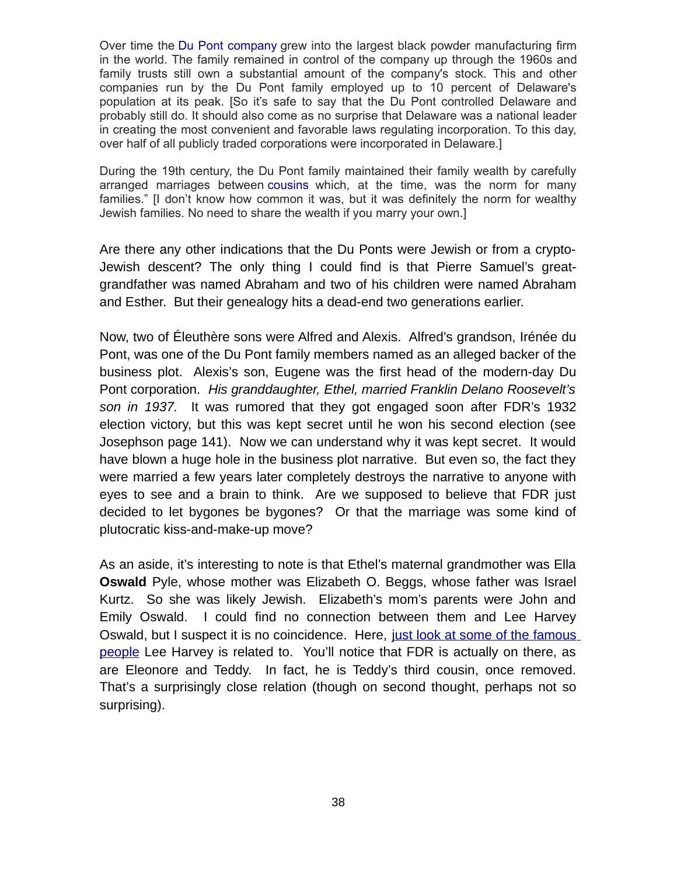Over time the [Du Pont company](https://en.wikipedia.org/wiki/DuPont) grew into the largest black powder manufacturing firm in the world. The family remained in control of the company up through the 1960s and family trusts still own a substantial amount of the company's stock. This and other companies run by the Du Pont family employed up to 10 percent of Delaware's population at its peak. [So it's safe to say that the Du Pont controlled Delaware and probably still do. It should also come as no surprise that Delaware was a national leader in creating the most convenient and favorable laws regulating incorporation. To this day, over half of all publicly traded corporations were incorporated in Delaware.]

During the 19th century, the Du Pont family maintained their family wealth by carefully arranged marriages between [cousins](https://en.wikipedia.org/wiki/Inbreeding) which, at the time, was the norm for many families." [I don't know how common it was, but it was definitely the norm for wealthy Jewish families. No need to share the wealth if you marry your own.]

Are there any other indications that the Du Ponts were Jewish or from a crypto-Jewish descent? The only thing I could find is that Pierre Samuel's greatgrandfather was named Abraham and two of his children were named Abraham and Esther. But their genealogy hits a dead-end two generations earlier.

Now, two of Éleuthère sons were Alfred and Alexis. Alfred's grandson, Irénée du Pont, was one of the Du Pont family members named as an alleged backer of the business plot. Alexis's son, Eugene was the first head of the modern-day Du Pont corporation. *His granddaughter, Ethel, married Franklin Delano Roosevelt's son in 1937.* It was rumored that they got engaged soon after FDR's 1932 election victory, but this was kept secret until he won his second election (see Josephson page 141). Now we can understand why it was kept secret. It would have blown a huge hole in the business plot narrative. But even so, the fact they were married a few years later completely destroys the narrative to anyone with eyes to see and a brain to think. Are we supposed to believe that FDR just decided to let bygones be bygones? Or that the marriage was some kind of plutocratic kiss-and-make-up move?

As an aside, it's interesting to note is that Ethel's maternal grandmother was Ella **Oswald** Pyle, whose mother was Elizabeth O. Beggs, whose father was Israel Kurtz. So she was likely Jewish. Elizabeth's mom's parents were John and Emily Oswald. I could find no connection between them and Lee Harvey Oswald, but I suspect it is no coincidence. Here, [just look at some of the famous](https://famouskin.com/famous-kin-menu.php?name=9730+lee+harvey+oswald) [people](https://famouskin.com/famous-kin-menu.php?name=9730+lee+harvey+oswald) Lee Harvey is related to. You'll notice that FDR is actually on there, as are Eleonore and Teddy. In fact, he is Teddy's third cousin, once removed. That's a surprisingly close relation (though on second thought, perhaps not so surprising).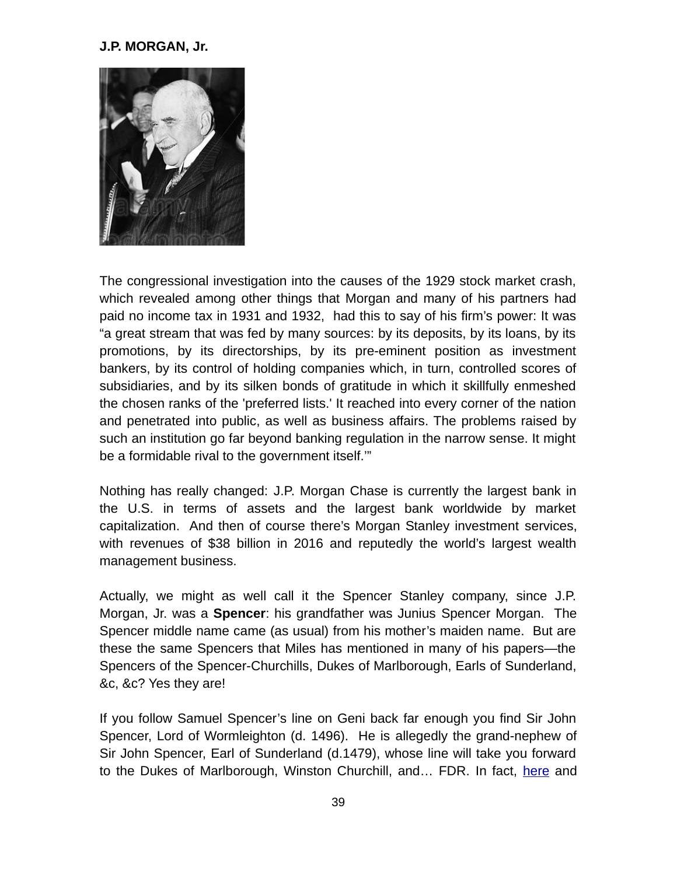#### **J.P. MORGAN, Jr.**



The congressional investigation into the causes of the 1929 stock market crash, which revealed among other things that Morgan and many of his partners had paid no income tax in 1931 and 1932, had this to say of his firm's power: It was "a great stream that was fed by many sources: by its deposits, by its loans, by its promotions, by its directorships, by its pre-eminent position as investment bankers, by its control of holding companies which, in turn, controlled scores of subsidiaries, and by its silken bonds of gratitude in which it skillfully enmeshed the chosen ranks of the 'preferred lists.' It reached into every corner of the nation and penetrated into public, as well as business affairs. The problems raised by such an institution go far beyond banking regulation in the narrow sense. It might be a formidable rival to the government itself.'"

Nothing has really changed: J.P. Morgan Chase is currently the largest bank in the U.S. in terms of assets and the largest bank worldwide by market capitalization. And then of course there's Morgan Stanley investment services, with revenues of \$38 billion in 2016 and reputedly the world's largest wealth management business.

Actually, we might as well call it the Spencer Stanley company, since J.P. Morgan, Jr. was a **Spencer**: his grandfather was Junius Spencer Morgan. The Spencer middle name came (as usual) from his mother's maiden name. But are these the same Spencers that Miles has mentioned in many of his papers—the Spencers of the Spencer-Churchills, Dukes of Marlborough, Earls of Sunderland, &c, &c? Yes they are!

If you follow Samuel Spencer's line on Geni back far enough you find Sir John Spencer, Lord of Wormleighton (d. 1496). He is allegedly the grand-nephew of Sir John Spencer, Earl of Sunderland (d.1479), whose line will take you forward to the Dukes of Marlborough, Winston Churchill, and... FDR. In fact, [here](https://web.archive.org/web/20170219085330/http:/ntgen.tripod.com/bw/sp_engl_pres.html) and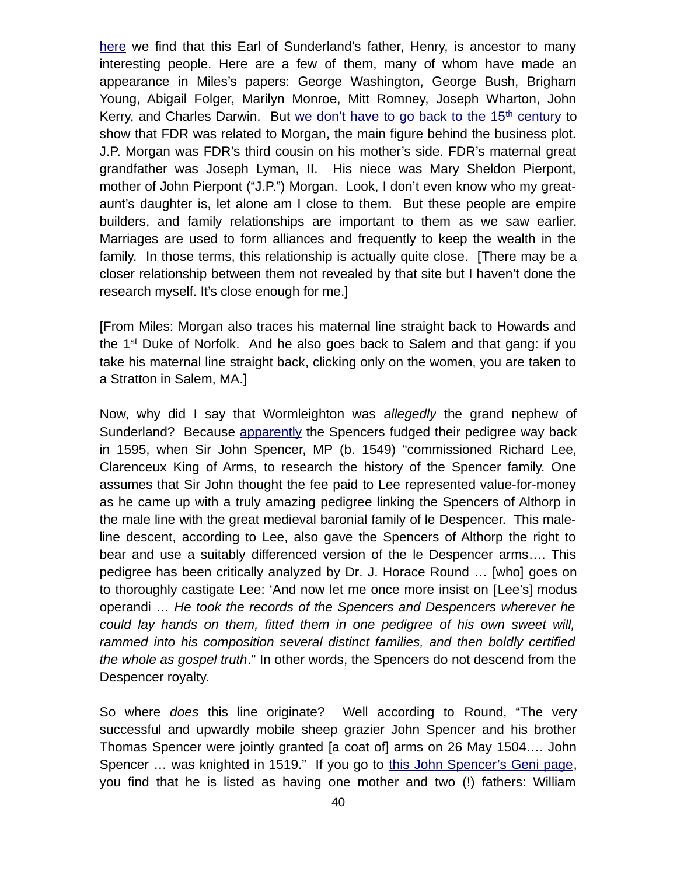[here](https://famouskin.com/famous-kin-menu.php?name=17019+henry+spencer) we find that this Earl of Sunderland's father, Henry, is ancestor to many interesting people. Here are a few of them, many of whom have made an appearance in Miles's papers: George Washington, George Bush, Brigham Young, Abigail Folger, Marilyn Monroe, Mitt Romney, Joseph Wharton, John Kerry, and Charles Darwin. But [we don't have to go back to the 15](https://famouskin.com/famous-kin-menu.php?name=8952+franklin+d+roosevelt)<sup>th</sup> [century](https://famouskin.com/famous-kin-menu.php?name=8952+franklin+d+roosevelt) to show that FDR was related to Morgan, the main figure behind the business plot. J.P. Morgan was FDR's third cousin on his mother's side. FDR's maternal great grandfather was Joseph Lyman, II. His niece was Mary Sheldon Pierpont, mother of John Pierpont ("J.P.") Morgan. Look, I don't even know who my greataunt's daughter is, let alone am I close to them. But these people are empire builders, and family relationships are important to them as we saw earlier. Marriages are used to form alliances and frequently to keep the wealth in the family. In those terms, this relationship is actually quite close. [There may be a closer relationship between them not revealed by that site but I haven't done the research myself. It's close enough for me.]

[From Miles: Morgan also traces his maternal line straight back to Howards and the  $1<sup>st</sup>$  Duke of Norfolk. And he also goes back to Salem and that gang: if you take his maternal line straight back, clicking only on the women, you are taken to a Stratton in Salem, MA.]

Now, why did I say that Wormleighton was *allegedly* the grand nephew of Sunderland? Because [apparently](http://www.cracroftspeerage.co.uk/online/content/spencerarms.htm) the Spencers fudged their pedigree way back in 1595, when Sir John Spencer, MP (b. 1549) "commissioned Richard Lee, Clarenceux King of Arms, to research the history of the Spencer family. One assumes that Sir John thought the fee paid to Lee represented value-for-money as he came up with a truly amazing pedigree linking the Spencers of Althorp in the male line with the great medieval baronial family of le Despencer. This maleline descent, according to Lee, also gave the Spencers of Althorp the right to bear and use a suitably differenced version of the le Despencer arms…. This pedigree has been critically analyzed by Dr. J. Horace Round … [who] goes on to thoroughly castigate Lee: 'And now let me once more insist on [Lee's] modus operandi … *He took the records of the Spencers and Despencers wherever he could lay hands on them, fitted them in one pedigree of his own sweet will, rammed into his composition several distinct families, and then boldly certified the whole as gospel truth*." In other words, the Spencers do not descend from the Despencer royalty.

So where *does* this line originate? Well according to Round, "The very successful and upwardly mobile sheep grazier John Spencer and his brother Thomas Spencer were jointly granted [a coat of] arms on 26 May 1504…. John Spencer ... was knighted in 1519." If you go to [this John Spencer's Geni page,](https://web.archive.org/web/20170219162852/https:/www.geni.com/people/Sir-John-Spencer/6000000014454446007) you find that he is listed as having one mother and two (!) fathers: William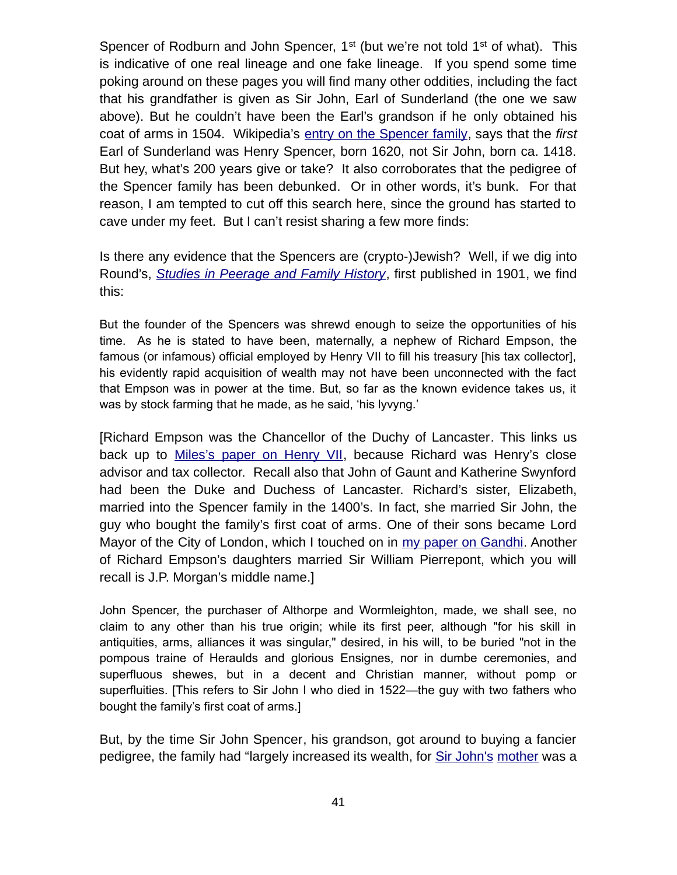Spencer of Rodburn and John Spencer,  $1^{st}$  (but we're not told  $1^{st}$  of what). This is indicative of one real lineage and one fake lineage. If you spend some time poking around on these pages you will find many other oddities, including the fact that his grandfather is given as Sir John, Earl of Sunderland (the one we saw above). But he couldn't have been the Earl's grandson if he only obtained his coat of arms in 1504. Wikipedia's [entry on the Spencer family,](https://en.wikipedia.org/wiki/Spencer_family) says that the *first* Earl of Sunderland was Henry Spencer, born 1620, not Sir John, born ca. 1418. But hey, what's 200 years give or take? It also corroborates that the pedigree of the Spencer family has been debunked. Or in other words, it's bunk. For that reason, I am tempted to cut off this search here, since the ground has started to cave under my feet. But I can't resist sharing a few more finds:

Is there any evidence that the Spencers are (crypto-)Jewish? Well, if we dig into Round's, *[Studies in Peerage and Family History](https://archive.org/details/studiesinpeerage02rounuoft)*, first published in 1901, we find this:

But the founder of the Spencers was shrewd enough to seize the opportunities of his time. As he is stated to have been, maternally, a nephew of Richard Empson, the famous (or infamous) official employed by Henry VII to fill his treasury [his tax collector], his evidently rapid acquisition of wealth may not have been unconnected with the fact that Empson was in power at the time. But, so far as the known evidence takes us, it was by stock farming that he made, as he said, 'his lyvyng.'

[Richard Empson was the Chancellor of the Duchy of Lancaster. This links us back up to [Miles's paper on Henry VII,](http://mileswmathis.com/henryvii.pdf) because Richard was Henry's close advisor and tax collector. Recall also that John of Gaunt and Katherine Swynford had been the Duke and Duchess of Lancaster. Richard's sister, Elizabeth, married into the Spencer family in the 1400's. In fact, she married Sir John, the guy who bought the family's first coat of arms. One of their sons became Lord Mayor of the City of London, which I touched on in [my paper on Gandhi.](http://mileswmathis.com/fakir.pdf) Another of Richard Empson's daughters married Sir William Pierrepont, which you will recall is J.P. Morgan's middle name.]

John Spencer, the purchaser of Althorpe and Wormleighton, made, we shall see, no claim to any other than his true origin; while its first peer, although "for his skill in antiquities, arms, alliances it was singular," desired, in his will, to be buried "not in the pompous traine of Heraulds and glorious Ensignes, nor in dumbe ceremonies, and superfluous shewes, but in a decent and Christian manner, without pomp or superfluities. [This refers to Sir John I who died in 1522—the guy with two fathers who bought the family's first coat of arms.]

But, by the time Sir John Spencer, his grandson, got around to buying a fancier pedigree, the family had "largely increased its wealth, for [Sir John's](https://www.geni.com/people/Sir-John-Spencer-c-1549-1600-MP/6000000003263328365) [mother](https://www.geni.com/people/Katherine-Spencer/6000000000103509531) was a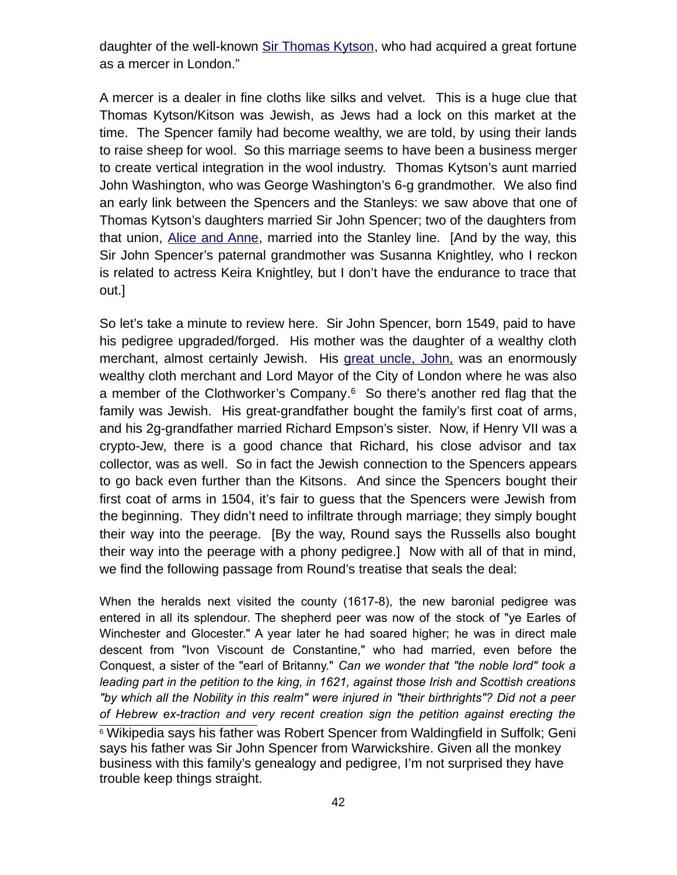daughter of the well-known [Sir Thomas Kytson,](https://www.geni.com/people/Thomas-Kitson-Sir-of-Hengrave/6000000000103986277) who had acquired a great fortune as a mercer in London."

A mercer is a dealer in fine cloths like silks and velvet. This is a huge clue that Thomas Kytson/Kitson was Jewish, as Jews had a lock on this market at the time. The Spencer family had become wealthy, we are told, by using their lands to raise sheep for wool. So this marriage seems to have been a business merger to create vertical integration in the wool industry. Thomas Kytson's aunt married John Washington, who was George Washington's 6-g grandmother. We also find an early link between the Spencers and the Stanleys: we saw above that one of Thomas Kytson's daughters married Sir John Spencer; two of the daughters from that union, [Alice and Anne,](https://en.wikipedia.org/wiki/Thomas_Kitson#Second_marriage) married into the Stanley line. [And by the way, this Sir John Spencer's paternal grandmother was Susanna Knightley, who I reckon is related to actress Keira Knightley, but I don't have the endurance to trace that out.]

So let's take a minute to review here. Sir John Spencer, born 1549, paid to have his pedigree upgraded/forged. His mother was the daughter of a wealthy cloth merchant, almost certainly Jewish. His great uncle, John, was an enormously wealthy cloth merchant and Lord Mayor of the City of London where he was also a member of the Clothworker's Company.<sup>[6](#page-41-0)</sup> So there's another red flag that the family was Jewish. His great-grandfather bought the family's first coat of arms, and his 2g-grandfather married Richard Empson's sister. Now, if Henry VII was a crypto-Jew, there is a good chance that Richard, his close advisor and tax collector, was as well. So in fact the Jewish connection to the Spencers appears to go back even further than the Kitsons. And since the Spencers bought their first coat of arms in 1504, it's fair to guess that the Spencers were Jewish from the beginning. They didn't need to infiltrate through marriage; they simply bought their way into the peerage. [By the way, Round says the Russells also bought their way into the peerage with a phony pedigree.] Now with all of that in mind, we find the following passage from Round's treatise that seals the deal:

When the heralds next visited the county (1617-8), the new baronial pedigree was entered in all its splendour. The shepherd peer was now of the stock of "ye Earles of Winchester and Glocester." A year later he had soared higher; he was in direct male descent from "Ivon Viscount de Constantine," who had married, even before the Conquest, a sister of the "earl of Britanny." *Can we wonder that "the noble lord" took a leading part in the petition to the king, in 1621, against those Irish and Scottish creations "by which all the Nobility in this realm" were injured in "their birthrights"? Did not a peer of Hebrew ex-traction and very recent creation sign the petition against erecting the*

<span id="page-41-0"></span><sup>&</sup>lt;sup>6</sup> Wikipedia says his father was Robert Spencer from Waldingfield in Suffolk; Geni says his father was Sir John Spencer from Warwickshire. Given all the monkey business with this family's genealogy and pedigree, I'm not surprised they have trouble keep things straight.